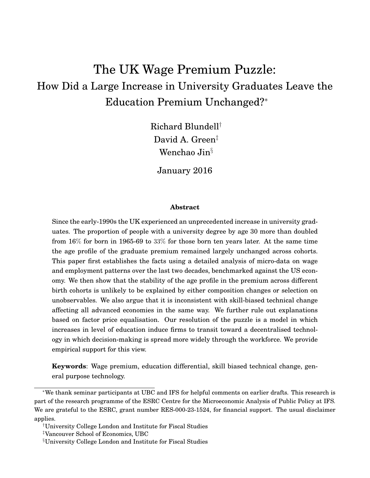# The UK Wage Premium Puzzle: How Did a Large Increase in University Graduates Leave the Education Premium Unchanged?<sup>∗</sup>

Richard Blundell† David A. Green‡ Wenchao Jin§

January 2016

#### **Abstract**

Since the early-1990s the UK experienced an unprecedented increase in university graduates. The proportion of people with a university degree by age 30 more than doubled from 16% for born in 1965-69 to 33% for those born ten years later. At the same time the age profile of the graduate premium remained largely unchanged across cohorts. This paper first establishes the facts using a detailed analysis of micro-data on wage and employment patterns over the last two decades, benchmarked against the US economy. We then show that the stability of the age profile in the premium across different birth cohorts is unlikely to be explained by either composition changes or selection on unobservables. We also argue that it is inconsistent with skill-biased technical change affecting all advanced economies in the same way. We further rule out explanations based on factor price equalisation. Our resolution of the puzzle is a model in which increases in level of education induce firms to transit toward a decentralised technology in which decision-making is spread more widely through the workforce. We provide empirical support for this view.

**Keywords**: Wage premium, education differential, skill biased technical change, general purpose technology.

<sup>∗</sup>We thank seminar participants at UBC and IFS for helpful comments on earlier drafts. This research is part of the research programme of the ESRC Centre for the Microeconomic Analysis of Public Policy at IFS. We are grateful to the ESRC, grant number RES-000-23-1524, for financial support. The usual disclaimer applies.

<sup>†</sup>University College London and Institute for Fiscal Studies

<sup>‡</sup>Vancouver School of Economics, UBC

<sup>§</sup>University College London and Institute for Fiscal Studies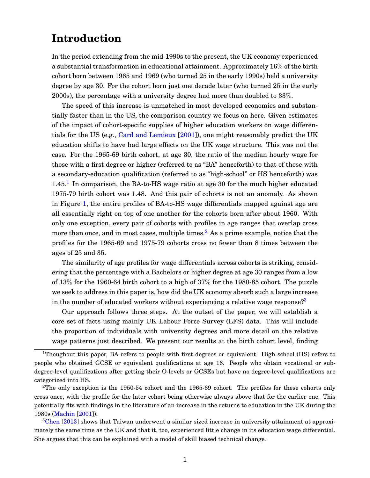## **Introduction**

In the period extending from the mid-1990s to the present, the UK economy experienced a substantial transformation in educational attainment. Approximately 16% of the birth cohort born between 1965 and 1969 (who turned 25 in the early 1990s) held a university degree by age 30. For the cohort born just one decade later (who turned 25 in the early 2000s), the percentage with a university degree had more than doubled to 33%.

The speed of this increase is unmatched in most developed economies and substantially faster than in the US, the comparison country we focus on here. Given estimates of the impact of cohort-specific supplies of higher education workers on wage differentials for the US (e.g., [Card and Lemieux](#page-34-0) [\[2001\]](#page-34-0)), one might reasonably predict the UK education shifts to have had large effects on the UK wage structure. This was not the case. For the 1965-69 birth cohort, at age 30, the ratio of the median hourly wage for those with a first degree or higher (referred to as "BA" henceforth) to that of those with a secondary-education qualification (referred to as "high-school" or HS henceforth) was  $1.45<sup>1</sup>$  $1.45<sup>1</sup>$  In comparison, the BA-to-HS wage ratio at age 30 for the much higher educated 1975-79 birth cohort was 1.48. And this pair of cohorts is not an anomaly. As shown in Figure [1,](#page-2-0) the entire profiles of BA-to-HS wage differentials mapped against age are all essentially right on top of one another for the cohorts born after about 1960. With only one exception, every pair of cohorts with profiles in age ranges that overlap cross more than once, and in most cases, multiple times.<sup>[2](#page-1-1)</sup> As a prime example, notice that the profiles for the 1965-69 and 1975-79 cohorts cross no fewer than 8 times between the ages of 25 and 35.

The similarity of age profiles for wage differentials across cohorts is striking, considering that the percentage with a Bachelors or higher degree at age 30 ranges from a low of 13% for the 1960-64 birth cohort to a high of 37% for the 1980-85 cohort. The puzzle we seek to address in this paper is, how did the UK economy absorb such a large increase in the number of educated workers without experiencing a relative wage response?<sup>[3](#page-1-2)</sup>

Our approach follows three steps. At the outset of the paper, we will establish a core set of facts using mainly UK Labour Force Survey (LFS) data. This will include the proportion of individuals with university degrees and more detail on the relative wage patterns just described. We present our results at the birth cohort level, finding

<span id="page-1-0"></span><sup>&</sup>lt;sup>1</sup>Thoughout this paper, BA refers to people with first degrees or equivalent. High school (HS) refers to people who obtained GCSE or equivalent qualifications at age 16. People who obtain vocational or subdegree-level qualifications after getting their O-levels or GCSEs but have no degree-level qualifications are categorized into HS.

<span id="page-1-1"></span> $2$ The only exception is the 1950-54 cohort and the 1965-69 cohort. The profiles for these cohorts only cross once, with the profile for the later cohort being otherwise always above that for the earlier one. This potentially fits with findings in the literature of an increase in the returns to education in the UK during the 1980s [\(Machin](#page-35-0) [\[2001\]](#page-35-0)).

<span id="page-1-2"></span> $3$ [Chen](#page-34-1) [\[2013\]](#page-34-1) shows that Taiwan underwent a similar sized increase in university attainment at approximately the same time as the UK and that it, too, experienced little change in its education wage differential. She argues that this can be explained with a model of skill biased technical change.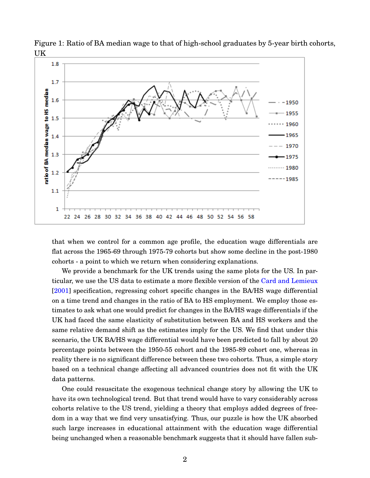

<span id="page-2-0"></span>Figure 1: Ratio of BA median wage to that of high-school graduates by 5-year birth cohorts, UK

that when we control for a common age profile, the education wage differentials are flat across the 1965-69 through 1975-79 cohorts but show some decline in the post-1980 cohorts - a point to which we return when considering explanations.

We provide a benchmark for the UK trends using the same plots for the US. In particular, we use the US data to estimate a more flexible version of the [Card and Lemieux](#page-34-0) [\[2001\]](#page-34-0) specification, regressing cohort specific changes in the BA/HS wage differential on a time trend and changes in the ratio of BA to HS employment. We employ those estimates to ask what one would predict for changes in the BA/HS wage differentials if the UK had faced the same elasticity of substitution between BA and HS workers and the same relative demand shift as the estimates imply for the US. We find that under this scenario, the UK BA/HS wage differential would have been predicted to fall by about 20 percentage points between the 1950-55 cohort and the 1985-89 cohort one, whereas in reality there is no significant difference between these two cohorts. Thus, a simple story based on a technical change affecting all advanced countries does not fit with the UK data patterns.

One could resuscitate the exogenous technical change story by allowing the UK to have its own technological trend. But that trend would have to vary considerably across cohorts relative to the US trend, yielding a theory that employs added degrees of freedom in a way that we find very unsatisfying. Thus, our puzzle is how the UK absorbed such large increases in educational attainment with the education wage differential being unchanged when a reasonable benchmark suggests that it should have fallen sub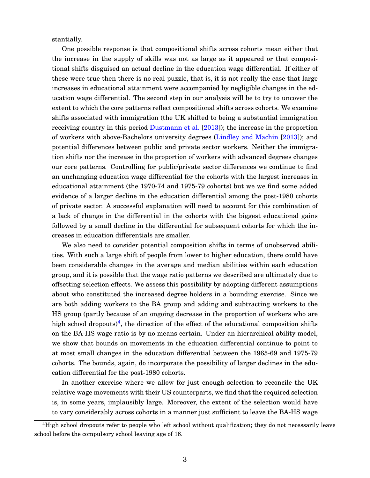stantially.

One possible response is that compositional shifts across cohorts mean either that the increase in the supply of skills was not as large as it appeared or that compositional shifts disguised an actual decline in the education wage differential. If either of these were true then there is no real puzzle, that is, it is not really the case that large increases in educational attainment were accompanied by negligible changes in the education wage differential. The second step in our analysis will be to try to uncover the extent to which the core patterns reflect compositional shifts across cohorts. We examine shifts associated with immigration (the UK shifted to being a substantial immigration receiving country in this period [Dustmann et al.](#page-34-2) [\[2013\]](#page-34-2)); the increase in the proportion of workers with above-Bachelors university degrees [\(Lindley and Machin](#page-35-1) [\[2013\]](#page-35-1)); and potential differences between public and private sector workers. Neither the immigration shifts nor the increase in the proportion of workers with advanced degrees changes our core patterns. Controlling for public/private sector differences we continue to find an unchanging education wage differential for the cohorts with the largest increases in educational attainment (the 1970-74 and 1975-79 cohorts) but we we find some added evidence of a larger decline in the education differential among the post-1980 cohorts of private sector. A successful explanation will need to account for this combination of a lack of change in the differential in the cohorts with the biggest educational gains followed by a small decline in the differential for subsequent cohorts for which the increases in education differentials are smaller.

We also need to consider potential composition shifts in terms of unobserved abilities. With such a large shift of people from lower to higher education, there could have been considerable changes in the average and median abilities within each education group, and it is possible that the wage ratio patterns we described are ultimately due to offsetting selection effects. We assess this possibility by adopting different assumptions about who constituted the increased degree holders in a bounding exercise. Since we are both adding workers to the BA group and adding and subtracting workers to the HS group (partly because of an ongoing decrease in the proportion of workers who are high school dropouts)<sup>[4](#page-3-0)</sup>, the direction of the effect of the educational composition shifts on the BA-HS wage ratio is by no means certain. Under an hierarchical ability model, we show that bounds on movements in the education differential continue to point to at most small changes in the education differential between the 1965-69 and 1975-79 cohorts. The bounds, again, do incorporate the possibility of larger declines in the education differential for the post-1980 cohorts.

In another exercise where we allow for just enough selection to reconcile the UK relative wage movements with their US counterparts, we find that the required selection is, in some years, implausibly large. Moreover, the extent of the selection would have to vary considerably across cohorts in a manner just sufficient to leave the BA-HS wage

<span id="page-3-0"></span><sup>&</sup>lt;sup>4</sup>High school dropouts refer to people who left school without qualification; they do not necessarily leave school before the compulsory school leaving age of 16.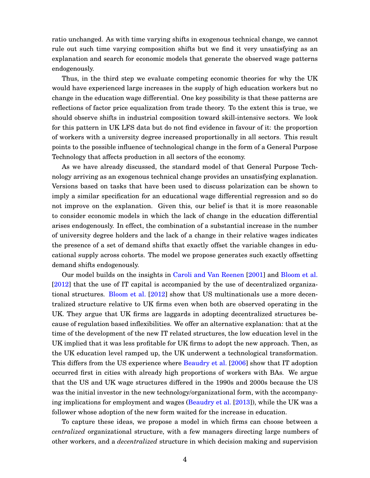ratio unchanged. As with time varying shifts in exogenous technical change, we cannot rule out such time varying composition shifts but we find it very unsatisfying as an explanation and search for economic models that generate the observed wage patterns endogenously.

Thus, in the third step we evaluate competing economic theories for why the UK would have experienced large increases in the supply of high education workers but no change in the education wage differential. One key possibility is that these patterns are reflections of factor price equalization from trade theory. To the extent this is true, we should observe shifts in industrial composition toward skill-intensive sectors. We look for this pattern in UK LFS data but do not find evidence in favour of it: the proportion of workers with a university degree increased proportionally in all sectors. This result points to the possible influence of technological change in the form of a General Purpose Technology that affects production in all sectors of the economy.

As we have already discussed, the standard model of that General Purpose Technology arriving as an exogenous technical change provides an unsatisfying explanation. Versions based on tasks that have been used to discuss polarization can be shown to imply a similar specification for an educational wage differential regression and so do not improve on the explanation. Given this, our belief is that it is more reasonable to consider economic models in which the lack of change in the education differential arises endogenously. In effect, the combination of a substantial increase in the number of university degree holders and the lack of a change in their relative wages indicates the presence of a set of demand shifts that exactly offset the variable changes in educational supply across cohorts. The model we propose generates such exactly offsetting demand shifts endogenously.

Our model builds on the insights in [Caroli and Van Reenen](#page-34-3) [\[2001\]](#page-34-3) and [Bloom et al.](#page-33-0) [\[2012\]](#page-33-0) that the use of IT capital is accompanied by the use of decentralized organizational structures. [Bloom et al.](#page-33-0) [\[2012\]](#page-33-0) show that US multinationals use a more decentralized structure relative to UK firms even when both are observed operating in the UK. They argue that UK firms are laggards in adopting decentralized structures because of regulation based inflexibilities. We offer an alternative explanation: that at the time of the development of the new IT related structures, the low education level in the UK implied that it was less profitable for UK firms to adopt the new approach. Then, as the UK education level ramped up, the UK underwent a technological transformation. This differs from the US experience where [Beaudry et al.](#page-33-1) [\[2006\]](#page-33-1) show that IT adoption occurred first in cities with already high proportions of workers with BAs. We argue that the US and UK wage structures differed in the 1990s and 2000s because the US was the initial investor in the new technology/organizational form, with the accompanying implications for employment and wages [\(Beaudry et al.](#page-33-2) [\[2013\]](#page-33-2)), while the UK was a follower whose adoption of the new form waited for the increase in education.

To capture these ideas, we propose a model in which firms can choose between a *centralized* organizational structure, with a few managers directing large numbers of other workers, and a *decentralized* structure in which decision making and supervision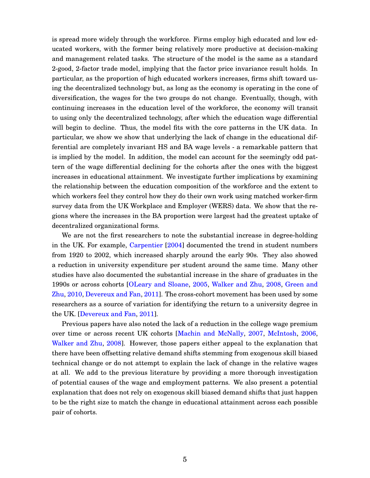is spread more widely through the workforce. Firms employ high educated and low educated workers, with the former being relatively more productive at decision-making and management related tasks. The structure of the model is the same as a standard 2-good, 2-factor trade model, implying that the factor price invariance result holds. In particular, as the proportion of high educated workers increases, firms shift toward using the decentralized technology but, as long as the economy is operating in the cone of diversification, the wages for the two groups do not change. Eventually, though, with continuing increases in the education level of the workforce, the economy will transit to using only the decentralized technology, after which the education wage differential will begin to decline. Thus, the model fits with the core patterns in the UK data. In particular, we show we show that underlying the lack of change in the educational differential are completely invariant HS and BA wage levels - a remarkable pattern that is implied by the model. In addition, the model can account for the seemingly odd pattern of the wage differential declining for the cohorts after the ones with the biggest increases in educational attainment. We investigate further implications by examining the relationship between the education composition of the workforce and the extent to which workers feel they control how they do their own work using matched worker-firm survey data from the UK Workplace and Employer (WERS) data. We show that the regions where the increases in the BA proportion were largest had the greatest uptake of decentralized organizational forms.

We are not the first researchers to note the substantial increase in degree-holding in the UK. For example, [Carpentier](#page-34-4) [\[2004\]](#page-34-4) documented the trend in student numbers from 1920 to 2002, which increased sharply around the early 90s. They also showed a reduction in university expenditure per student around the same time. Many other studies have also documented the substantial increase in the share of graduates in the 1990s or across cohorts [\[OLeary and Sloane,](#page-35-2) [2005,](#page-35-2) [Walker and Zhu,](#page-35-3) [2008,](#page-35-3) [Green and](#page-34-5) [Zhu,](#page-34-5) [2010,](#page-34-5) [Devereux and Fan,](#page-34-6) [2011\]](#page-34-6). The cross-cohort movement has been used by some researchers as a source of variation for identifying the return to a university degree in the UK. [\[Devereux and Fan,](#page-34-6) [2011\]](#page-34-6).

Previous papers have also noted the lack of a reduction in the college wage premium over time or across recent UK cohorts [\[Machin and McNally,](#page-35-4) [2007,](#page-35-4) [McIntosh,](#page-35-5) [2006,](#page-35-5) [Walker and Zhu,](#page-35-3) [2008\]](#page-35-3). However, those papers either appeal to the explanation that there have been offsetting relative demand shifts stemming from exogenous skill biased technical change or do not attempt to explain the lack of change in the relative wages at all. We add to the previous literature by providing a more thorough investigation of potential causes of the wage and employment patterns. We also present a potential explanation that does not rely on exogenous skill biased demand shifts that just happen to be the right size to match the change in educational attainment across each possible pair of cohorts.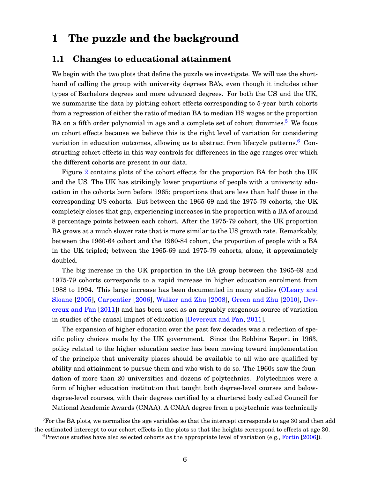## **1 The puzzle and the background**

#### **1.1 Changes to educational attainment**

We begin with the two plots that define the puzzle we investigate. We will use the shorthand of calling the group with university degrees BA's, even though it includes other types of Bachelors degrees and more advanced degrees. For both the US and the UK, we summarize the data by plotting cohort effects corresponding to 5-year birth cohorts from a regression of either the ratio of median BA to median HS wages or the proportion BA on a fifth order polynomial in age and a complete set of cohort dummies.<sup>[5](#page-6-0)</sup> We focus on cohort effects because we believe this is the right level of variation for considering variation in education outcomes, allowing us to abstract from lifecycle patterns.<sup>[6](#page-6-1)</sup> Constructing cohort effects in this way controls for differences in the age ranges over which the different cohorts are present in our data.

Figure [2](#page-41-0) contains plots of the cohort effects for the proportion BA for both the UK and the US. The UK has strikingly lower proportions of people with a university education in the cohorts born before 1965; proportions that are less than half those in the corresponding US cohorts. But between the 1965-69 and the 1975-79 cohorts, the UK completely closes that gap, experiencing increases in the proportion with a BA of around 8 percentage points between each cohort. After the 1975-79 cohort, the UK proportion BA grows at a much slower rate that is more similar to the US growth rate. Remarkably, between the 1960-64 cohort and the 1980-84 cohort, the proportion of people with a BA in the UK tripled; between the 1965-69 and 1975-79 cohorts, alone, it approximately doubled.

The big increase in the UK proportion in the BA group between the 1965-69 and 1975-79 cohorts corresponds to a rapid increase in higher education enrolment from 1988 to 1994. This large increase has been documented in many studies [\(OLeary and](#page-35-2) [Sloane](#page-35-2) [\[2005\]](#page-35-2), [Carpentier](#page-34-7) [\[2006\]](#page-34-7), [Walker and Zhu](#page-35-3) [\[2008\]](#page-35-3), [Green and Zhu](#page-34-5) [\[2010\]](#page-34-5), [Dev](#page-34-6)[ereux and Fan](#page-34-6) [\[2011\]](#page-34-6)) and has been used as an arguably exogenous source of variation in studies of the causal impact of education [\[Devereux and Fan,](#page-34-6) [2011\]](#page-34-6).

The expansion of higher education over the past few decades was a reflection of specific policy choices made by the UK government. Since the Robbins Report in 1963, policy related to the higher education sector has been moving toward implementation of the principle that university places should be available to all who are qualified by ability and attainment to pursue them and who wish to do so. The 1960s saw the foundation of more than 20 universities and dozens of polytechnics. Polytechnics were a form of higher education institution that taught both degree-level courses and belowdegree-level courses, with their degrees certified by a chartered body called Council for National Academic Awards (CNAA). A CNAA degree from a polytechnic was technically

<span id="page-6-1"></span><span id="page-6-0"></span> ${}^{5}$ For the BA plots, we normalize the age variables so that the intercept corresponds to age 30 and then add the estimated intercept to our cohort effects in the plots so that the heights correspond to effects at age 30.  $6$ Previous studies have also selected cohorts as the appropriate level of variation (e.g., [Fortin](#page-34-8) [\[2006\]](#page-34-8)).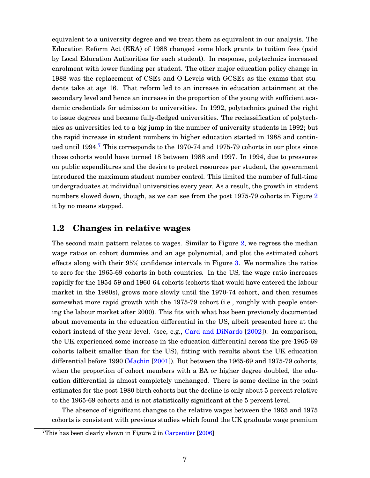equivalent to a university degree and we treat them as equivalent in our analysis. The Education Reform Act (ERA) of 1988 changed some block grants to tuition fees (paid by Local Education Authorities for each student). In response, polytechnics increased enrolment with lower funding per student. The other major education policy change in 1988 was the replacement of CSEs and O-Levels with GCSEs as the exams that students take at age 16. That reform led to an increase in education attainment at the secondary level and hence an increase in the proportion of the young with sufficient academic credentials for admission to universities. In 1992, polytechnics gained the right to issue degrees and became fully-fledged universities. The reclassification of polytechnics as universities led to a big jump in the number of university students in 1992; but the rapid increase in student numbers in higher education started in 1988 and contin-ued until 1994.<sup>[7](#page-7-0)</sup> This corresponds to the 1970-74 and 1975-79 cohorts in our plots since those cohorts would have turned 18 between 1988 and 1997. In 1994, due to pressures on public expenditures and the desire to protect resources per student, the government introduced the maximum student number control. This limited the number of full-time undergraduates at individual universities every year. As a result, the growth in student numbers slowed down, though, as we can see from the post 1975-79 cohorts in Figure [2](#page-41-0) it by no means stopped.

### **1.2 Changes in relative wages**

The second main pattern relates to wages. Similar to Figure [2,](#page-41-0) we regress the median wage ratios on cohort dummies and an age polynomial, and plot the estimated cohort effects along with their 95% confidence intervals in Figure [3.](#page-41-1) We normalize the ratios to zero for the 1965-69 cohorts in both countries. In the US, the wage ratio increases rapidly for the 1954-59 and 1960-64 cohorts (cohorts that would have entered the labour market in the 1980s), grows more slowly until the 1970-74 cohort, and then resumes somewhat more rapid growth with the 1975-79 cohort (i.e., roughly with people entering the labour market after 2000). This fits with what has been previously documented about movements in the education differential in the US, albeit presented here at the cohort instead of the year level. (see, e.g., [Card and DiNardo](#page-34-9) [\[2002\]](#page-34-9)). In comparison, the UK experienced some increase in the education differential across the pre-1965-69 cohorts (albeit smaller than for the US), fitting with results about the UK education differential before 1990 [\(Machin](#page-35-0) [\[2001\]](#page-35-0)). But between the 1965-69 and 1975-79 cohorts, when the proportion of cohort members with a BA or higher degree doubled, the education differential is almost completely unchanged. There is some decline in the point estimates for the post-1980 birth cohorts but the decline is only about 5 percent relative to the 1965-69 cohorts and is not statistically significant at the 5 percent level.

The absence of significant changes to the relative wages between the 1965 and 1975 cohorts is consistent with previous studies which found the UK graduate wage premium

<span id="page-7-0"></span><sup>&</sup>lt;sup>7</sup>This has been clearly shown in Figure 2 in [Carpentier](#page-34-7)  $[2006]$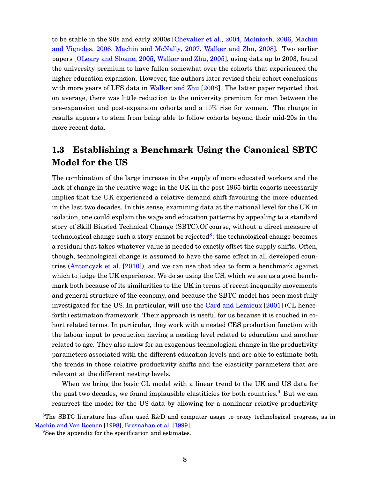to be stable in the 90s and early 2000s [\[Chevalier et al.,](#page-34-10) [2004,](#page-34-10) [McIntosh,](#page-35-5) [2006,](#page-35-5) [Machin](#page-35-6) [and Vignoles,](#page-35-6) [2006,](#page-35-6) [Machin and McNally,](#page-35-4) [2007,](#page-35-4) [Walker and Zhu,](#page-35-3) [2008\]](#page-35-3). Two earlier papers [\[OLeary and Sloane,](#page-35-2) [2005,](#page-35-2) [Walker and Zhu,](#page-35-7) [2005\]](#page-35-7), using data up to 2003, found the university premium to have fallen somewhat over the cohorts that experienced the higher education expansion. However, the authors later revised their cohort conclusions with more years of LFS data in [Walker and Zhu](#page-35-3) [\[2008\]](#page-35-3). The latter paper reported that on average, there was little reduction to the university premium for men between the pre-expansion and post-expansion cohorts and a 10% rise for women. The change in results appears to stem from being able to follow cohorts beyond their mid-20s in the more recent data.

### **1.3 Establishing a Benchmark Using the Canonical SBTC Model for the US**

The combination of the large increase in the supply of more educated workers and the lack of change in the relative wage in the UK in the post 1965 birth cohorts necessarily implies that the UK experienced a relative demand shift favouring the more educated in the last two decades. In this sense, examining data at the national level for the UK in isolation, one could explain the wage and education patterns by appealing to a standard story of Skill Biasted Technical Change (SBTC).Of course, without a direct measure of technological change such a story cannot be rejected<sup>[8](#page-8-0)</sup>: the technological change becomes a residual that takes whatever value is needed to exactly offset the supply shifts. Often, though, technological change is assumed to have the same effect in all developed countries [\(Antoncyzk et al.](#page-33-3) [\[2010\]](#page-33-3)), and we can use that idea to form a benchmark against which to judge the UK experience. We do so using the US, which we see as a good benchmark both because of its similarities to the UK in terms of recent inequality movements and general structure of the economy, and because the SBTC model has been most fully investigated for the US. In particular, will use the [Card and Lemieux](#page-34-0) [\[2001\]](#page-34-0) (CL henceforth) estimation framework. Their approach is useful for us because it is couched in cohort related terms. In particular, they work with a nested CES production function with the labour input to production having a nesting level related to education and another related to age. They also allow for an exogenous technological change in the productivity parameters associated with the different education levels and are able to estimate both the trends in those relative productivity shifts and the elasticity parameters that are relevant at the different nesting levels.

When we bring the basic CL model with a linear trend to the UK and US data for the past two decades, we found implausible elastiticies for both countries.<sup>[9](#page-8-1)</sup> But we can resurrect the model for the US data by allowing for a nonlinear relative productivity

<span id="page-8-0"></span><sup>&</sup>lt;sup>8</sup>The SBTC literature has often used R&D and computer usage to proxy technological progress, as in [Machin and Van Reenen](#page-35-8) [\[1998\]](#page-35-8), [Bresnahan et al.](#page-33-4) [\[1999\]](#page-33-4).

<span id="page-8-1"></span><sup>&</sup>lt;sup>9</sup>See the appendix for the specification and estimates.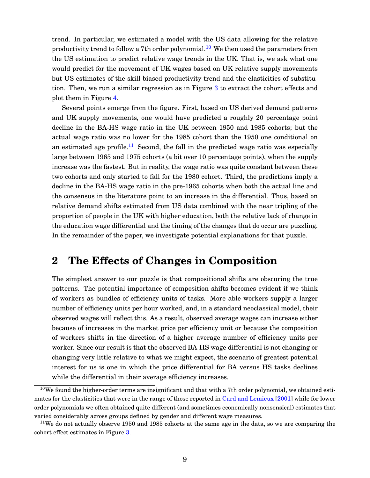trend. In particular, we estimated a model with the US data allowing for the relative productivity trend to follow a 7<sup>th</sup> order polynomial.<sup>[10](#page-9-0)</sup> We then used the parameters from the US estimation to predict relative wage trends in the UK. That is, we ask what one would predict for the movement of UK wages based on UK relative supply movements but US estimates of the skill biased productivity trend and the elasticities of substitution. Then, we run a similar regression as in Figure [3](#page-41-1) to extract the cohort effects and plot them in Figure [4.](#page-42-0)

Several points emerge from the figure. First, based on US derived demand patterns and UK supply movements, one would have predicted a roughly 20 percentage point decline in the BA-HS wage ratio in the UK between 1950 and 1985 cohorts; but the actual wage ratio was no lower for the 1985 cohort than the 1950 one conditional on an estimated age profile.<sup>[11](#page-9-1)</sup> Second, the fall in the predicted wage ratio was especially large between 1965 and 1975 cohorts (a bit over 10 percentage points), when the supply increase was the fastest. But in reality, the wage ratio was quite constant between these two cohorts and only started to fall for the 1980 cohort. Third, the predictions imply a decline in the BA-HS wage ratio in the pre-1965 cohorts when both the actual line and the consensus in the literature point to an increase in the differential. Thus, based on relative demand shifts estimated from US data combined with the near tripling of the proportion of people in the UK with higher education, both the relative lack of change in the education wage differential and the timing of the changes that do occur are puzzling. In the remainder of the paper, we investigate potential explanations for that puzzle.

### **2 The Effects of Changes in Composition**

The simplest answer to our puzzle is that compositional shifts are obscuring the true patterns. The potential importance of composition shifts becomes evident if we think of workers as bundles of efficiency units of tasks. More able workers supply a larger number of efficiency units per hour worked, and, in a standard neoclassical model, their observed wages will reflect this. As a result, observed average wages can increase either because of increases in the market price per efficiency unit or because the composition of workers shifts in the direction of a higher average number of efficiency units per worker. Since our result is that the observed BA-HS wage differential is not changing or changing very little relative to what we might expect, the scenario of greatest potential interest for us is one in which the price differential for BA versus HS tasks declines while the differential in their average efficiency increases.

<span id="page-9-0"></span> $10$ We found the higher-order terms are insignificant and that with a 7th order polynomial, we obtained estimates for the elasticities that were in the range of those reported in [Card and Lemieux](#page-34-0) [\[2001\]](#page-34-0) while for lower order polynomials we often obtained quite different (and sometimes economically nonsensical) estimates that varied considerably across groups defined by gender and different wage measures.

<span id="page-9-1"></span><sup>&</sup>lt;sup>11</sup>We do not actually observe 1950 and 1985 cohorts at the same age in the data, so we are comparing the cohort effect estimates in Figure [3.](#page-41-1)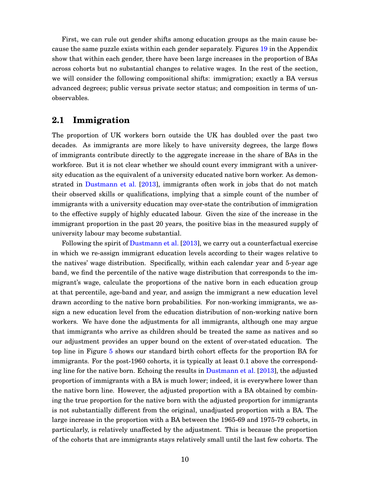First, we can rule out gender shifts among education groups as the main cause because the same puzzle exists within each gender separately. Figures [19](#page-53-0) in the Appendix show that within each gender, there have been large increases in the proportion of BAs across cohorts but no substantial changes to relative wages. In the rest of the section, we will consider the following compositional shifts: immigration; exactly a BA versus advanced degrees; public versus private sector status; and composition in terms of unobservables.

### **2.1 Immigration**

The proportion of UK workers born outside the UK has doubled over the past two decades. As immigrants are more likely to have university degrees, the large flows of immigrants contribute directly to the aggregate increase in the share of BAs in the workforce. But it is not clear whether we should count every immigrant with a university education as the equivalent of a university educated native born worker. As demonstrated in [Dustmann et al.](#page-34-2) [\[2013\]](#page-34-2), immigrants often work in jobs that do not match their observed skills or qualifications, implying that a simple count of the number of immigrants with a university education may over-state the contribution of immigration to the effective supply of highly educated labour. Given the size of the increase in the immigrant proportion in the past 20 years, the positive bias in the measured supply of university labour may become substantial.

Following the spirit of [Dustmann et al.](#page-34-2) [\[2013\]](#page-34-2), we carry out a counterfactual exercise in which we re-assign immigrant education levels according to their wages relative to the natives' wage distribution. Specifically, within each calendar year and 5-year age band, we find the percentile of the native wage distribution that corresponds to the immigrant's wage, calculate the proportions of the native born in each education group at that percentile, age-band and year, and assign the immigrant a new education level drawn according to the native born probabilities. For non-working immigrants, we assign a new education level from the education distribution of non-working native born workers. We have done the adjustments for all immigrants, although one may argue that immigrants who arrive as children should be treated the same as natives and so our adjustment provides an upper bound on the extent of over-stated education. The top line in Figure [5](#page-42-1) shows our standard birth cohort effects for the proportion BA for immigrants. For the post-1960 cohorts, it is typically at least 0.1 above the corresponding line for the native born. Echoing the results in [Dustmann et al.](#page-34-2) [\[2013\]](#page-34-2), the adjusted proportion of immigrants with a BA is much lower; indeed, it is everywhere lower than the native born line. However, the adjusted proportion with a BA obtained by combining the true proportion for the native born with the adjusted proportion for immigrants is not substantially different from the original, unadjusted proportion with a BA. The large increase in the proportion with a BA between the 1965-69 and 1975-79 cohorts, in particularly, is relatively unaffected by the adjustment. This is because the proportion of the cohorts that are immigrants stays relatively small until the last few cohorts. The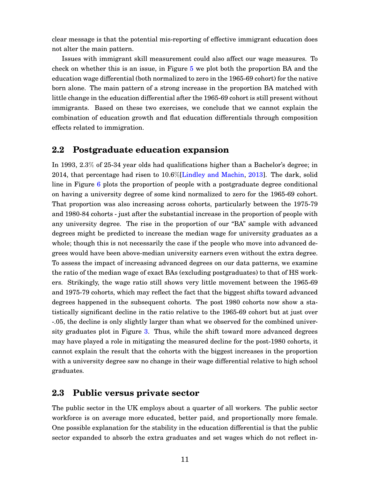clear message is that the potential mis-reporting of effective immigrant education does not alter the main pattern.

Issues with immigrant skill measurement could also affect our wage measures. To check on whether this is an issue, in Figure [5](#page-42-1) we plot both the proportion BA and the education wage differential (both normalized to zero in the 1965-69 cohort) for the native born alone. The main pattern of a strong increase in the proportion BA matched with little change in the education differential after the 1965-69 cohort is still present without immigrants. Based on these two exercises, we conclude that we cannot explain the combination of education growth and flat education differentials through composition effects related to immigration.

### **2.2 Postgraduate education expansion**

In 1993, 2.3% of 25-34 year olds had qualifications higher than a Bachelor's degree; in 2014, that percentage had risen to 10.6%[\[Lindley and Machin,](#page-35-1) [2013\]](#page-35-1). The dark, solid line in Figure [6](#page-43-0) plots the proportion of people with a postgraduate degree conditional on having a university degree of some kind normalized to zero for the 1965-69 cohort. That proportion was also increasing across cohorts, particularly between the 1975-79 and 1980-84 cohorts - just after the substantial increase in the proportion of people with any university degree. The rise in the proportion of our "BA" sample with advanced degrees might be predicted to increase the median wage for university graduates as a whole; though this is not necessarily the case if the people who move into advanced degrees would have been above-median university earners even without the extra degree. To assess the impact of increasing advanced degrees on our data patterns, we examine the ratio of the median wage of exact BAs (excluding postgraduates) to that of HS workers. Strikingly, the wage ratio still shows very little movement between the 1965-69 and 1975-79 cohorts, which may reflect the fact that the biggest shifts toward advanced degrees happened in the subsequent cohorts. The post 1980 cohorts now show a statistically significant decline in the ratio relative to the 1965-69 cohort but at just over -.05, the decline is only slightly larger than what we observed for the combined university graduates plot in Figure [3.](#page-41-1) Thus, while the shift toward more advanced degrees may have played a role in mitigating the measured decline for the post-1980 cohorts, it cannot explain the result that the cohorts with the biggest increases in the proportion with a university degree saw no change in their wage differential relative to high school graduates.

### **2.3 Public versus private sector**

The public sector in the UK employs about a quarter of all workers. The public sector workforce is on average more educated, better paid, and proportionally more female. One possible explanation for the stability in the education differential is that the public sector expanded to absorb the extra graduates and set wages which do not reflect in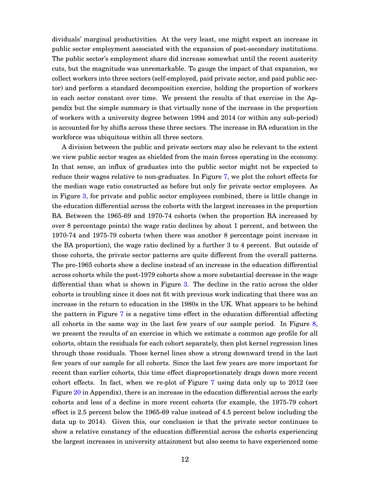dividuals' marginal productivities. At the very least, one might expect an increase in public sector employment associated with the expansion of post-secondary institutions. The public sector's employment share did increase somewhat until the recent austerity cuts, but the magnitude was unremarkable. To gauge the impact of that expansion, we collect workers into three sectors (self-employed, paid private sector, and paid public sector) and perform a standard decomposition exercise, holding the proportion of workers in each sector constant over time. We present the results of that exercise in the Appendix but the simple summary is that virtually none of the increase in the proportion of workers with a university degree between 1994 and 2014 (or within any sub-period) is accounted for by shifts across these three sectors. The increase in BA education in the workforce was ubiquitous within all three sectors.

A division between the public and private sectors may also be relevant to the extent we view public sector wages as shielded from the main forces operating in the economy. In that sense, an influx of graduates into the public sector might not be expected to reduce their wages relative to non-graduates. In Figure [7,](#page-44-0) we plot the cohort effects for the median wage ratio constructed as before but only for private sector employees. As in Figure [3,](#page-41-1) for private and public sector employees combined, there is little change in the education differential across the cohorts with the largest increases in the proportion BA. Between the 1965-69 and 1970-74 cohorts (when the proportion BA increased by over 8 percentage points) the wage ratio declines by about 1 percent, and between the 1970-74 and 1975-79 cohorts (when there was another 8 percentage point increase in the BA proportion), the wage ratio declined by a further 3 to 4 percent. But outside of those cohorts, the private sector patterns are quite different from the overall patterns. The pre-1965 cohorts show a decline instead of an increase in the education differential across cohorts while the post-1979 cohorts show a more substantial decrease in the wage differential than what is shown in Figure [3.](#page-41-1) The decline in the ratio across the older cohorts is troubling since it does not fit with previous work indicating that there was an increase in the return to education in the 1980s in the UK. What appears to be behind the pattern in Figure [7](#page-44-0) is a negative time effect in the education differential affecting all cohorts in the same way in the last few years of our sample period. In Figure [8,](#page-44-1) we present the results of an exercise in which we estimate a common age profile for all cohorts, obtain the residuals for each cohort separately, then plot kernel regression lines through those residuals. Those kernel lines show a strong downward trend in the last few years of our sample for all cohorts. Since the last few years are more important for recent than earlier cohorts, this time effect disproportionately drags down more recent cohort effects. In fact, when we re-plot of Figure [7](#page-44-0) using data only up to 2012 (see Figure [20](#page-53-1) in Appendix), there is an increase in the education differential across the early cohorts and less of a decline in more recent cohorts (for example, the 1975-79 cohort effect is 2.5 percent below the 1965-69 value instead of 4.5 percent below including the data up to 2014). Given this, our conclusion is that the private sector continues to show a relative constancy of the education differential across the cohorts experiencing the largest increases in university attainment but also seems to have experienced some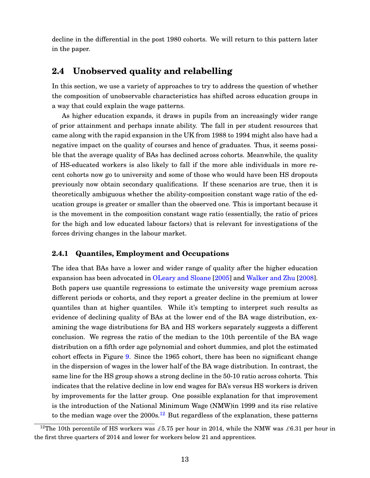decline in the differential in the post 1980 cohorts. We will return to this pattern later in the paper.

### **2.4 Unobserved quality and relabelling**

In this section, we use a variety of approaches to try to address the question of whether the composition of unobservable characteristics has shifted across education groups in a way that could explain the wage patterns.

As higher education expands, it draws in pupils from an increasingly wider range of prior attainment and perhaps innate ability. The fall in per student resources that came along with the rapid expansion in the UK from 1988 to 1994 might also have had a negative impact on the quality of courses and hence of graduates. Thus, it seems possible that the average quality of BAs has declined across cohorts. Meanwhile, the quality of HS-educated workers is also likely to fall if the more able individuals in more recent cohorts now go to university and some of those who would have been HS dropouts previously now obtain secondary qualifications. If these scenarios are true, then it is theoretically ambiguous whether the ability-composition constant wage ratio of the education groups is greater or smaller than the observed one. This is important because it is the movement in the composition constant wage ratio (essentially, the ratio of prices for the high and low educated labour factors) that is relevant for investigations of the forces driving changes in the labour market.

#### **2.4.1 Quantiles, Employment and Occupations**

The idea that BAs have a lower and wider range of quality after the higher education expansion has been advocated in [OLeary and Sloane](#page-35-2) [\[2005\]](#page-35-2) and [Walker and Zhu](#page-35-3) [\[2008\]](#page-35-3). Both papers use quantile regressions to estimate the university wage premium across different periods or cohorts, and they report a greater decline in the premium at lower quantiles than at higher quantiles. While it's tempting to interpret such results as evidence of declining quality of BAs at the lower end of the BA wage distribution, examining the wage distributions for BA and HS workers separately suggests a different conclusion. We regress the ratio of the median to the 10th percentile of the BA wage distribution on a fifth order age polynomial and cohort dummies, and plot the estimated cohort effects in Figure [9.](#page-45-0) Since the 1965 cohort, there has been no significant change in the dispersion of wages in the lower half of the BA wage distribution. In contrast, the same line for the HS group shows a strong decline in the 50-10 ratio across cohorts. This indicates that the relative decline in low end wages for BA's versus HS workers is driven by improvements for the latter group. One possible explanation for that improvement is the introduction of the National Minimum Wage (NMW)in 1999 and its rise relative to the median wage over the  $2000s<sup>12</sup>$  $2000s<sup>12</sup>$  $2000s<sup>12</sup>$  But regardless of the explanation, these patterns

<span id="page-13-0"></span><sup>&</sup>lt;sup>12</sup>The 10th percentile of HS workers was £5.75 per hour in 2014, while the NMW was £6.31 per hour in the first three quarters of 2014 and lower for workers below 21 and apprentices.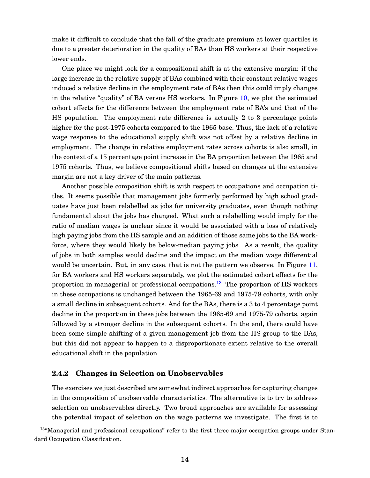make it difficult to conclude that the fall of the graduate premium at lower quartiles is due to a greater deterioration in the quality of BAs than HS workers at their respective lower ends.

One place we might look for a compositional shift is at the extensive margin: if the large increase in the relative supply of BAs combined with their constant relative wages induced a relative decline in the employment rate of BAs then this could imply changes in the relative "quality" of BA versus HS workers. In Figure [10,](#page-45-1) we plot the estimated cohort effects for the difference between the employment rate of BA's and that of the HS population. The employment rate difference is actually 2 to 3 percentage points higher for the post-1975 cohorts compared to the 1965 base. Thus, the lack of a relative wage response to the educational supply shift was not offset by a relative decline in employment. The change in relative employment rates across cohorts is also small, in the context of a 15 percentage point increase in the BA proportion between the 1965 and 1975 cohorts. Thus, we believe compositional shifts based on changes at the extensive margin are not a key driver of the main patterns.

Another possible composition shift is with respect to occupations and occupation titles. It seems possible that management jobs formerly performed by high school graduates have just been relabelled as jobs for university graduates, even though nothing fundamental about the jobs has changed. What such a relabelling would imply for the ratio of median wages is unclear since it would be associated with a loss of relatively high paying jobs from the HS sample and an addition of those same jobs to the BA workforce, where they would likely be below-median paying jobs. As a result, the quality of jobs in both samples would decline and the impact on the median wage differential would be uncertain. But, in any case, that is not the pattern we observe. In Figure [11,](#page-46-0) for BA workers and HS workers separately, we plot the estimated cohort effects for the proportion in managerial or professional occupations.<sup>[13](#page-14-0)</sup> The proportion of HS workers in these occupations is unchanged between the 1965-69 and 1975-79 cohorts, with only a small decline in subsequent cohorts. And for the BAs, there is a 3 to 4 percentage point decline in the proportion in these jobs between the 1965-69 and 1975-79 cohorts, again followed by a stronger decline in the subsequent cohorts. In the end, there could have been some simple shifting of a given management job from the HS group to the BAs, but this did not appear to happen to a disproportionate extent relative to the overall educational shift in the population.

#### **2.4.2 Changes in Selection on Unobservables**

The exercises we just described are somewhat indirect approaches for capturing changes in the composition of unobservable characteristics. The alternative is to try to address selection on unobservables directly. Two broad approaches are available for assessing the potential impact of selection on the wage patterns we investigate. The first is to

<span id="page-14-0"></span><sup>&</sup>lt;sup>13</sup>"Managerial and professional occupations" refer to the first three major occupation groups under Standard Occupation Classification.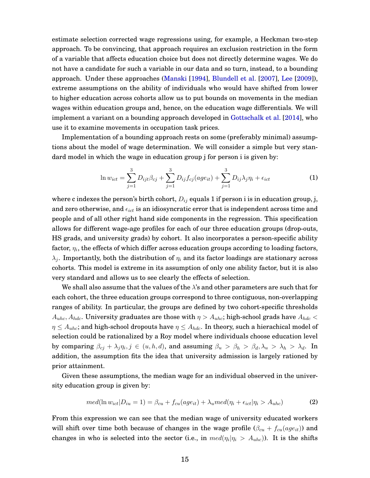estimate selection corrected wage regressions using, for example, a Heckman two-step approach. To be convincing, that approach requires an exclusion restriction in the form of a variable that affects education choice but does not directly determine wages. We do not have a candidate for such a variable in our data and so turn, instead, to a bounding approach. Under these approaches [\(Manski](#page-35-9) [\[1994\]](#page-35-9), [Blundell et al.](#page-33-5) [\[2007\]](#page-33-5), [Lee](#page-35-10) [\[2009\]](#page-35-10)), extreme assumptions on the ability of individuals who would have shifted from lower to higher education across cohorts allow us to put bounds on movements in the median wages within education groups and, hence, on the education wage differentials. We will implement a variant on a bounding approach developed in [Gottschalk et al.](#page-34-11) [\[2014\]](#page-34-11), who use it to examine movements in occupation task prices.

Implementation of a bounding approach rests on some (preferably minimal) assumptions about the model of wage determination. We will consider a simple but very standard model in which the wage in education group j for person i is given by:

$$
\ln w_{ict} = \sum_{j=1}^{3} D_{ijt} \beta_{cj} + \sum_{j=1}^{3} D_{ij} f_{cj}(age_{it}) + \sum_{j=1}^{3} D_{ij} \lambda_j \eta_i + \epsilon_{ict}
$$
 (1)

where c indexes the person's birth cohort,  $D_{ij}$  equals 1 if person i is in education group, j, and zero otherwise, and  $\epsilon_{ict}$  is an idiosyncratic error that is independent across time and people and of all other right hand side components in the regression. This specification allows for different wage-age profiles for each of our three education groups (drop-outs, HS grads, and university grads) by cohort. It also incorporates a person-specific ability factor,  $\eta_i$ , the effects of which differ across education groups according to loading factors,  $\lambda_j$ . Importantly, both the distribution of  $\eta_i$  and its factor loadings are stationary across cohorts. This model is extreme in its assumption of only one ability factor, but it is also very standard and allows us to see clearly the effects of selection.

We shall also assume that the values of the  $\lambda$ 's and other parameters are such that for each cohort, the three education groups correspond to three contiguous, non-overlapping ranges of ability. In particular, the groups are defined by two cohort-specific thresholds  $A_{uhc}, A_{hdc}$ . University graduates are those with  $\eta > A_{uhc}$ ; high-school grads have  $A_{hdc}$  <  $\eta \leq A_{uhc}$ ; and high-school dropouts have  $\eta \leq A_{hdc}$ . In theory, such a hierachical model of selection could be rationalized by a Roy model where individuals choose education level by comparing  $\beta_{cj} + \lambda_j \eta_i, j \in (u, h, d)$ , and assuming  $\beta_u > \beta_h > \beta_d, \lambda_u > \lambda_h > \lambda_d$ . In addition, the assumption fits the idea that university admission is largely rationed by prior attainment.

Given these assumptions, the median wage for an individual observed in the university education group is given by:

$$
med(\ln w_{ict}|D_{iu}=1) = \beta_{cu} + f_{cu}(age_{it}) + \lambda_{u} med(\eta_i + \epsilon_{ict}|\eta_i > A_{uhc})
$$
 (2)

From this expression we can see that the median wage of university educated workers will shift over time both because of changes in the wage profile  $(\beta_{cu} + f_{cu}(age_{it}))$  and changes in who is selected into the sector (i.e., in  $med(\eta_i|\eta_i \ > \ A_{uhc})$ ). It is the shifts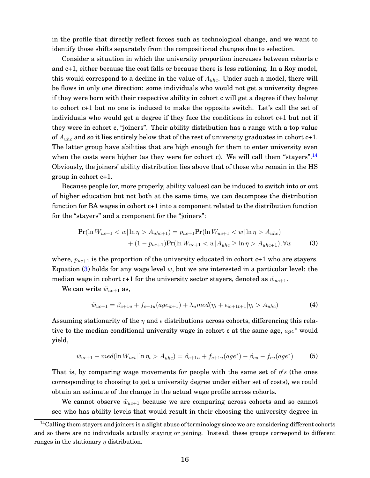in the profile that directly reflect forces such as technological change, and we want to identify those shifts separately from the compositional changes due to selection.

Consider a situation in which the university proportion increases between cohorts c and c+1, either because the cost falls or because there is less rationing. In a Roy model, this would correspond to a decline in the value of  $A_{uhc}$ . Under such a model, there will be flows in only one direction: some individuals who would not get a university degree if they were born with their respective ability in cohort c will get a degree if they belong to cohort c+1 but no one is induced to make the opposite switch. Let's call the set of individuals who would get a degree if they face the conditions in cohort c+1 but not if they were in cohort c, "joiners". Their ability distribution has a range with a top value of  $A_{uhc}$  and so it lies entirely below that of the rest of university graduates in cohort  $c+1$ . The latter group have abilities that are high enough for them to enter university even when the costs were higher (as they were for cohort c). We will call them "stayers".<sup>[14](#page-16-0)</sup> Obviously, the joiners' ability distribution lies above that of those who remain in the HS group in cohort c+1.

Because people (or, more properly, ability values) can be induced to switch into or out of higher education but not both at the same time, we can decompose the distribution function for BA wages in cohort c+1 into a component related to the distribution function for the "stayers" and a component for the "joiners":

$$
\Pr(\ln W_{uc+1} < w | \ln \eta > A_{uhc+1}) = p_{uc+1} \Pr(\ln W_{uc+1} < w | \ln \eta > A_{uhc}) \\
+ (1 - p_{uc+1}) \Pr(\ln W_{uc+1} < w | A_{uhc} \ge \ln \eta > A_{uhc+1}), \forall w \tag{3}
$$

where,  $p_{uc+1}$  is the proportion of the university educated in cohort c+1 who are stayers. Equation [\(3\)](#page-16-1) holds for any wage level  $w$ , but we are interested in a particular level: the median wage in cohort c+1 for the university sector stayers, denoted as  $\tilde{w}_{uc+1}$ .

We can write  $\tilde{w}_{uc+1}$  as,

<span id="page-16-1"></span>
$$
\tilde{w}_{uc+1} = \beta_{c+1u} + f_{c+1u}(age_{it+1}) + \lambda_u med(\eta_i + \epsilon_{ic+1t+1} | \eta_i > A_{uhc})
$$
\n(4)

Assuming stationarity of the  $\eta$  and  $\epsilon$  distributions across cohorts, differencing this relative to the median conditional university wage in cohort c at the same age,  $age^*$  would yield,

$$
\tilde{w}_{uc+1} - med(\ln W_{uct} | \ln \eta_i > A_{uhc}) = \beta_{c+1u} + f_{c+1u}(age^*) - \beta_{cu} - f_{cu}(age^*)
$$
 (5)

That is, by comparing wage movements for people with the same set of  $\eta's$  (the ones corresponding to choosing to get a university degree under either set of costs), we could obtain an estimate of the change in the actual wage profile across cohorts.

We cannot observe  $\tilde{w}_{uc+1}$  because we are comparing across cohorts and so cannot see who has ability levels that would result in their choosing the university degree in

<span id="page-16-0"></span><sup>&</sup>lt;sup>14</sup>Calling them stayers and joiners is a slight abuse of terminology since we are considering different cohorts and so there are no individuals actually staying or joining. Instead, these groups correspond to different ranges in the stationary  $\eta$  distribution.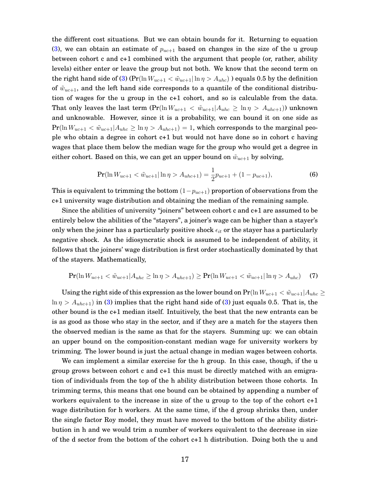the different cost situations. But we can obtain bounds for it. Returning to equation [\(3\)](#page-16-1), we can obtain an estimate of  $p_{uc+1}$  based on changes in the size of the u group between cohort c and c+1 combined with the argument that people (or, rather, ability levels) either enter or leave the group but not both. We know that the second term on the right hand side of [\(3\)](#page-16-1) ( $Pr(\ln W_{uc+1} < \tilde{w}_{uc+1} | \ln \eta > A_{uhc})$ ) equals 0.5 by the definition of  $\tilde{w}_{uc+1}$ , and the left hand side corresponds to a quantile of the conditional distribution of wages for the u group in the c+1 cohort, and so is calculable from the data. That only leaves the last term  $(\Pr(\ln W_{uc+1} < \tilde{w}_{uc+1} | A_{uhc} \geq \ln \eta > A_{uhc+1}))$  unknown and unknowable. However, since it is a probability, we can bound it on one side as  $Pr(\ln W_{uc+1} < \tilde{w}_{uc+1} | A_{uhc} \geq \ln \eta > A_{uhc+1}) = 1$ , which corresponds to the marginal people who obtain a degree in cohort c+1 but would not have done so in cohort c having wages that place them below the median wage for the group who would get a degree in either cohort. Based on this, we can get an upper bound on  $\tilde{w}_{uc+1}$  by solving,

$$
\Pr(\ln W_{uc+1} < \tilde{w}_{uc+1} | \ln \eta > A_{ulc+1}) = \frac{1}{2} p_{uc+1} + (1 - p_{uc+1}),\tag{6}
$$

This is equivalent to trimming the bottom  $(1-p_{uc+1})$  proportion of observations from the c+1 university wage distribution and obtaining the median of the remaining sample.

Since the abilities of university "joiners" between cohort c and c+1 are assumed to be entirely below the abilities of the "stayers", a joiner's wage can be higher than a stayer's only when the joiner has a particularly positive shock  $\epsilon_{it}$  or the stayer has a particularly negative shock. As the idiosyncratic shock is assumed to be independent of ability, it follows that the joiners' wage distribution is first order stochastically dominated by that of the stayers. Mathematically,

$$
\Pr(\ln W_{uc+1} < \tilde{w}_{uc+1} | A_{uhc} \ge \ln \eta > A_{uhc+1}) \ge \Pr(\ln W_{uc+1} < \tilde{w}_{uc+1} | \ln \eta > A_{uhc}) \tag{7}
$$

Using the right side of this expression as the lower bound on  $\Pr(\ln W_{uc+1} < \tilde{w}_{uc+1} | A_{uhc} \geq 1)$  $\ln \eta > A_{uhc+1}$ ) in [\(3\)](#page-16-1) implies that the right hand side of (3) just equals 0.5. That is, the other bound is the c+1 median itself. Intuitively, the best that the new entrants can be is as good as those who stay in the sector, and if they are a match for the stayers then the observed median is the same as that for the stayers. Summing up: we can obtain an upper bound on the composition-constant median wage for university workers by trimming. The lower bound is just the actual change in median wages between cohorts.

We can implement a similar exercise for the h group. In this case, though, if the u group grows between cohort c and c+1 this must be directly matched with an emigration of individuals from the top of the h ability distribution between those cohorts. In trimming terms, this means that one bound can be obtained by appending a number of workers equivalent to the increase in size of the u group to the top of the cohort  $c+1$ wage distribution for h workers. At the same time, if the d group shrinks then, under the single factor Roy model, they must have moved to the bottom of the ability distribution in h and we would trim a number of workers equivalent to the decrease in size of the d sector from the bottom of the cohort c+1 h distribution. Doing both the u and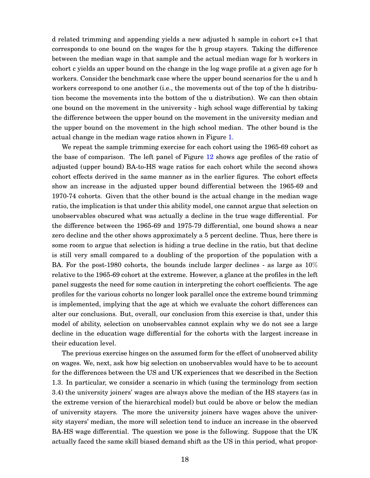d related trimming and appending yields a new adjusted h sample in cohort c+1 that corresponds to one bound on the wages for the h group stayers. Taking the difference between the median wage in that sample and the actual median wage for h workers in cohort c yields an upper bound on the change in the log wage profile at a given age for h workers. Consider the benchmark case where the upper bound scenarios for the u and h workers correspond to one another (i.e., the movements out of the top of the h distribution become the movements into the bottom of the u distribution). We can then obtain one bound on the movement in the university - high school wage differential by taking the difference between the upper bound on the movement in the university median and the upper bound on the movement in the high school median. The other bound is the actual change in the median wage ratios shown in Figure [1.](#page-2-0)

We repeat the sample trimming exercise for each cohort using the 1965-69 cohort as the base of comparison. The left panel of Figure [12](#page-47-0) shows age profiles of the ratio of adjusted (upper bound) BA-to-HS wage ratios for each cohort while the second shows cohort effects derived in the same manner as in the earlier figures. The cohort effects show an increase in the adjusted upper bound differential between the 1965-69 and 1970-74 cohorts. Given that the other bound is the actual change in the median wage ratio, the implication is that under this ability model, one cannot argue that selection on unobservables obscured what was actually a decline in the true wage differential. For the difference between the 1965-69 and 1975-79 differential, one bound shows a near zero decline and the other shows approximately a 5 percent decline. Thus, here there is some room to argue that selection is hiding a true decline in the ratio, but that decline is still very small compared to a doubling of the proportion of the population with a BA. For the post-1980 cohorts, the bounds include larger declines - as large as 10% relative to the 1965-69 cohort at the extreme. However, a glance at the profiles in the left panel suggests the need for some caution in interpreting the cohort coefficients. The age profiles for the various cohorts no longer look parallel once the extreme bound trimming is implemented, implying that the age at which we evaluate the cohort differences can alter our conclusions. But, overall, our conclusion from this exercise is that, under this model of ability, selection on unobservables cannot explain why we do not see a large decline in the education wage differential for the cohorts with the largest increase in their education level.

The previous exercise hinges on the assumed form for the effect of unobserved ability on wages. We, next, ask how big selection on unobservables would have to be to account for the differences between the US and UK experiences that we described in the Section 1.3. In particular, we consider a scenario in which (using the terminology from section 3.4) the university joiners' wages are always above the median of the HS stayers (as in the extreme version of the hierarchical model) but could be above or below the median of university stayers. The more the university joiners have wages above the university stayers' median, the more will selection tend to induce an increase in the observed BA-HS wage differential. The question we pose is the following. Suppose that the UK actually faced the same skill biased demand shift as the US in this period, what propor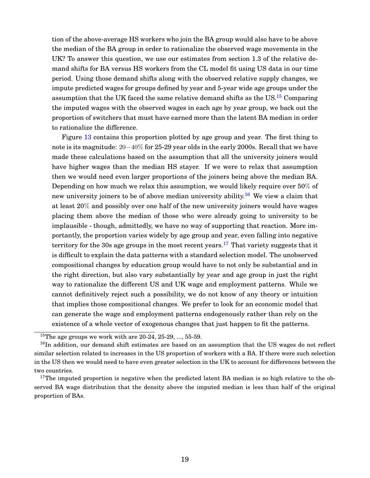tion of the above-average HS workers who join the BA group would also have to be above the median of the BA group in order to rationalize the observed wage movements in the UK? To answer this question, we use our estimates from section 1.3 of the relative demand shifts for BA versus HS workers from the CL model fit using US data in our time period. Using those demand shifts along with the observed relative supply changes, we impute predicted wages for groups defined by year and 5-year wide age groups under the assumption that the UK faced the same relative demand shifts as the US. $^{15}$  $^{15}$  $^{15}$  Comparing the imputed wages with the observed wages in each age by year group, we back out the proportion of switchers that must have earned more than the latent BA median in order to rationalize the difference.

Figure [13](#page-47-1) contains this proportion plotted by age group and year. The first thing to note is its magnitude: 20−40% for 25-29 year olds in the early 2000s. Recall that we have made these calculations based on the assumption that all the university joiners would have higher wages than the median HS stayer. If we were to relax that assumption then we would need even larger proportions of the joiners being above the median BA. Depending on how much we relax this assumption, we would likely require over 50% of new university joiners to be of above median university ability.<sup>[16](#page-19-1)</sup> We view a claim that at least 20% and possibly over one half of the new university joiners would have wages placing them above the median of those who were already going to university to be implausible - though, admittedly, we have no way of supporting that reaction. More importantly, the proportion varies widely by age group and year, even falling into negative territory for the 30s age groups in the most recent years.<sup>[17](#page-19-2)</sup> That variety suggests that it is difficult to explain the data patterns with a standard selection model. The unobserved compositional changes by education group would have to not only be substantial and in the right direction, but also vary substantially by year and age group in just the right way to rationalize the different US and UK wage and employment patterns. While we cannot definitively reject such a possibility, we do not know of any theory or intuition that implies those compositional changes. We prefer to look for an economic model that can generate the wage and employment patterns endogenously rather than rely on the existence of a whole vector of exogenous changes that just happen to fit the patterns.

<span id="page-19-1"></span><span id="page-19-0"></span><sup>&</sup>lt;sup>15</sup>The age groups we work with are  $20-24$ ,  $25-29$ , ...,  $55-59$ .

<sup>&</sup>lt;sup>16</sup>In addition, our demand shift estimates are based on an assumption that the US wages do not reflect similar selection related to increases in the US proportion of workers with a BA. If there were such selection in the US then we would need to have even greater selection in the UK to account for differences between the two countries.

<span id="page-19-2"></span> $17$ The imputed proportion is negative when the predicted latent BA median is so high relative to the observed BA wage distribution that the density above the imputed median is less than half of the original proportion of BAs.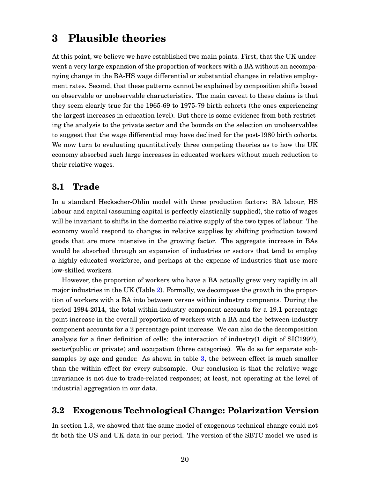## **3 Plausible theories**

At this point, we believe we have established two main points. First, that the UK underwent a very large expansion of the proportion of workers with a BA without an accompanying change in the BA-HS wage differential or substantial changes in relative employment rates. Second, that these patterns cannot be explained by composition shifts based on observable or unobservable characteristics. The main caveat to these claims is that they seem clearly true for the 1965-69 to 1975-79 birth cohorts (the ones experiencing the largest increases in education level). But there is some evidence from both restricting the analysis to the private sector and the bounds on the selection on unobservables to suggest that the wage differential may have declined for the post-1980 birth cohorts. We now turn to evaluating quantitatively three competing theories as to how the UK economy absorbed such large increases in educated workers without much reduction to their relative wages.

### **3.1 Trade**

In a standard Heckscher-Ohlin model with three production factors: BA labour, HS labour and capital (assuming capital is perfectly elastically supplied), the ratio of wages will be invariant to shifts in the domestic relative supply of the two types of labour. The economy would respond to changes in relative supplies by shifting production toward goods that are more intensive in the growing factor. The aggregate increase in BAs would be absorbed through an expansion of industries or sectors that tend to employ a highly educated workforce, and perhaps at the expense of industries that use more low-skilled workers.

However, the proportion of workers who have a BA actually grew very rapidly in all major industries in the UK (Table [2\)](#page-48-0). Formally, we decompose the growth in the proportion of workers with a BA into between versus within industry compnents. During the period 1994-2014, the total within-industry component accounts for a 19.1 percentage point increase in the overall proportion of workers with a BA and the between-industry component accounts for a 2 percentage point increase. We can also do the decomposition analysis for a finer definition of cells: the interaction of industry(1 digit of SIC1992), sector(public or private) and occupation (three categories). We do so for separate subsamples by age and gender. As shown in table [3,](#page-48-1) the between effect is much smaller than the within effect for every subsample. Our conclusion is that the relative wage invariance is not due to trade-related responses; at least, not operating at the level of industrial aggregation in our data.

### **3.2 Exogenous Technological Change: Polarization Version**

In section 1.3, we showed that the same model of exogenous technical change could not fit both the US and UK data in our period. The version of the SBTC model we used is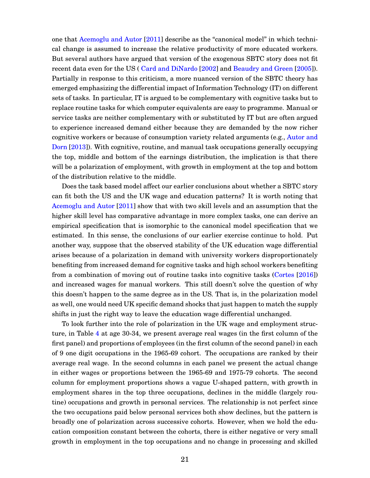one that [Acemoglu and Autor](#page-33-6) [\[2011\]](#page-33-6) describe as the "canonical model" in which technical change is assumed to increase the relative productivity of more educated workers. But several authors have argued that version of the exogenous SBTC story does not fit recent data even for the US ( [Card and DiNardo](#page-34-9) [\[2002\]](#page-34-9) and [Beaudry and Green](#page-33-7) [\[2005\]](#page-33-7)). Partially in response to this criticism, a more nuanced version of the SBTC theory has emerged emphasizing the differential impact of Information Technology (IT) on different sets of tasks. In particular, IT is argued to be complementary with cognitive tasks but to replace routine tasks for which computer equivalents are easy to programme. Manual or service tasks are neither complementary with or substituted by IT but are often argued to experience increased demand either because they are demanded by the now richer cognitive workers or because of consumption variety related arguments (e.g., [Autor and](#page-33-8) [Dorn](#page-33-8) [\[2013\]](#page-33-8)). With cognitive, routine, and manual task occupations generally occupying the top, middle and bottom of the earnings distribution, the implication is that there will be a polarization of employment, with growth in employment at the top and bottom of the distribution relative to the middle.

Does the task based model affect our earlier conclusions about whether a SBTC story can fit both the US and the UK wage and education patterns? It is worth noting that [Acemoglu and Autor](#page-33-6) [\[2011\]](#page-33-6) show that with two skill levels and an assumption that the higher skill level has comparative advantage in more complex tasks, one can derive an empirical specification that is isomorphic to the canonical model specification that we estimated. In this sense, the conclusions of our earlier exercise continue to hold. Put another way, suppose that the observed stability of the UK education wage differential arises because of a polarization in demand with university workers disproportionately benefiting from increased demand for cognitive tasks and high school workers benefiting from a combination of moving out of routine tasks into cognitive tasks [\(Cortes](#page-34-12) [\[2016\]](#page-34-12)) and increased wages for manual workers. This still doesn't solve the question of why this doesn't happen to the same degree as in the US. That is, in the polarization model as well, one would need UK specific demand shocks that just happen to match the supply shifts in just the right way to leave the education wage differential unchanged.

To look further into the role of polarization in the UK wage and employment structure, in Table [4](#page-49-0) at age 30-34, we present average real wages (in the first column of the first panel) and proportions of employees (in the first column of the second panel) in each of 9 one digit occupations in the 1965-69 cohort. The occupations are ranked by their average real wage. In the second columns in each panel we present the actual change in either wages or proportions between the 1965-69 and 1975-79 cohorts. The second column for employment proportions shows a vague U-shaped pattern, with growth in employment shares in the top three occupations, declines in the middle (largely routine) occupations and growth in personal services. The relationship is not perfect since the two occupations paid below personal services both show declines, but the pattern is broadly one of polarization across successive cohorts. However, when we hold the education composition constant between the cohorts, there is either negative or very small growth in employment in the top occupations and no change in processing and skilled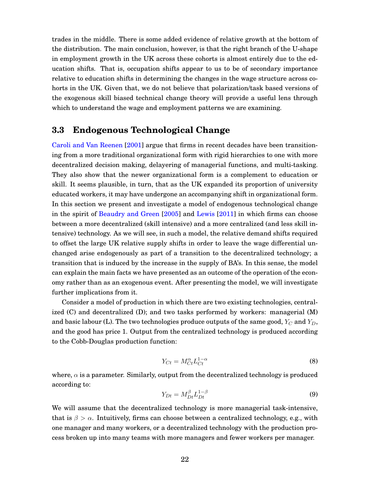trades in the middle. There is some added evidence of relative growth at the bottom of the distribution. The main conclusion, however, is that the right branch of the U-shape in employment growth in the UK across these cohorts is almost entirely due to the education shifts. That is, occupation shifts appear to us to be of secondary importance relative to education shifts in determining the changes in the wage structure across cohorts in the UK. Given that, we do not believe that polarization/task based versions of the exogenous skill biased technical change theory will provide a useful lens through which to understand the wage and employment patterns we are examining.

### **3.3 Endogenous Technological Change**

[Caroli and Van Reenen](#page-34-3) [\[2001\]](#page-34-3) argue that firms in recent decades have been transitioning from a more traditional organizational form with rigid hierarchies to one with more decentralized decision making, delayering of managerial functions, and multi-tasking. They also show that the newer organizational form is a complement to education or skill. It seems plausible, in turn, that as the UK expanded its proportion of university educated workers, it may have undergone an accompanying shift in organizational form. In this section we present and investigate a model of endogenous technological change in the spirit of [Beaudry and Green](#page-33-7) [\[2005\]](#page-33-7) and [Lewis](#page-35-11) [\[2011\]](#page-35-11) in which firms can choose between a more decentralized (skill intensive) and a more centralized (and less skill intensive) technology. As we will see, in such a model, the relative demand shifts required to offset the large UK relative supply shifts in order to leave the wage differential unchanged arise endogenously as part of a transition to the decentralized technology; a transition that is induced by the increase in the supply of BA's. In this sense, the model can explain the main facts we have presented as an outcome of the operation of the economy rather than as an exogenous event. After presenting the model, we will investigate further implications from it.

Consider a model of production in which there are two existing technologies, centralized (C) and decentralized (D); and two tasks performed by workers: managerial (M) and basic labour (L). The two technologies produce outputs of the same good,  $Y_C$  and  $Y_D$ , and the good has price 1. Output from the centralized technology is produced according to the Cobb-Douglas production function:

$$
Y_{C_t} = M_{C_t}^{\alpha} L_{C_t}^{1-\alpha} \tag{8}
$$

where,  $\alpha$  is a parameter. Similarly, output from the decentralized technology is produced according to:

$$
Y_{Dt} = M_{Dt}^{\beta} L_{Dt}^{1-\beta} \tag{9}
$$

We will assume that the decentralized technology is more managerial task-intensive, that is  $\beta > \alpha$ . Intuitively, firms can choose between a centralized technology, e.g., with one manager and many workers, or a decentralized technology with the production process broken up into many teams with more managers and fewer workers per manager.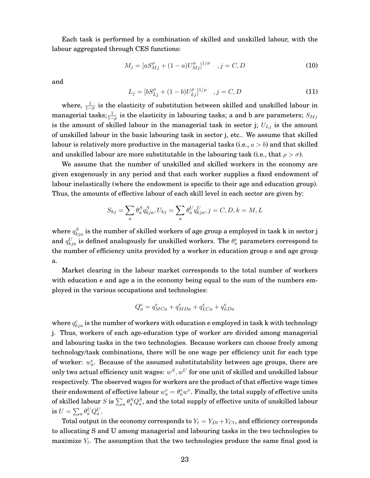Each task is performed by a combination of skilled and unskilled labour, with the labour aggregated through CES functions:

$$
M_j = [aS_{Mj}^{\sigma} + (1 - a)U_{Mj}^{\sigma}]^{1/\sigma} \quad , j = C, D \tag{10}
$$

and

$$
L_j = [bS_{Lj}^{\rho} + (1 - b)U_{Lj}^{\rho}]^{1/\rho} \quad , j = C, D \tag{11}
$$

where,  $\frac{1}{1-\sigma}$  is the elasticity of substitution between skilled and unskilled labour in managerial tasks; $\frac{1}{1-\rho}$  is the elasticity in labouring tasks; a and b are parameters;  $S_{Mj}$ is the amount of skilled labour in the managerial task in sector j;  $U_{Lj}$  is the amount of unskilled labour in the basic labouring task in sector j, etc.. We assume that skilled labour is relatively more productive in the managerial tasks (i.e.,  $a > b$ ) and that skilled and unskilled labour are more substitutable in the labouring task (i.e., that  $\rho > \sigma$ ).

We assume that the number of unskilled and skilled workers in the economy are given exogenously in any period and that each worker supplies a fixed endowment of labour inelastically (where the endowment is specific to their age and education group). Thus, the amounts of effective labour of each skill level in each sector are given by:

$$
S_{kj} = \sum_{a} \theta_a^S q_{kja}^S, U_{kj} = \sum_{a} \theta_a^U q_{kja}^U, j = C, D, k = M, L
$$

where  $q_{kja}^S$  is the number of skilled workers of age group a employed in task k in sector  ${\rm j}$ and  $q_{kja}^U$  is defined analogously for unskilled workers. The  $\theta^e_a$  parameters correspond to the number of efficiency units provided by a worker in education group e and age group a.

Market clearing in the labour market corresponds to the total number of workers with education e and age a in the economy being equal to the sum of the numbers employed in the various occupations and technologies:

$$
Q_a^e = q_{MCa}^e + q_{MDa}^e + q_{LCa}^e + q_{LDa}^e
$$

where  $q_{kja}^e$  is the number of workers with education e employed in task k with technology j. Thus, workers of each age-education type of worker are divided among managerial and labouring tasks in the two technologies. Because workers can choose freely among technology/task combinations, there will be one wage per efficiency unit for each type of worker:  $w_a^e$ . Because of the assumed substitutability between age groups, there are only two actual efficiency unit wages:  $w^S, w^U$  for one unit of skilled and unskilled labour respectively. The observed wages for workers are the product of that effective wage times their endowment of effective labour  $w_a^e = \theta_a^e w^e$ . Finally, the total supply of effective units of skilled labour  $S$  is  $\sum_a \theta^S_a Q^S_a$ , and the total supply of effective units of unskilled labour is  $U=\sum_a \theta_a^U Q_a^U.$ 

Total output in the economy corresponds to  $Y_t = Y_{Dt} + Y_{Ct}$ , and efficiency corresponds to allocating S and U among managerial and labouring tasks in the two technologies to maximize  $Y_t.$  The assumption that the two technologies produce the same final good is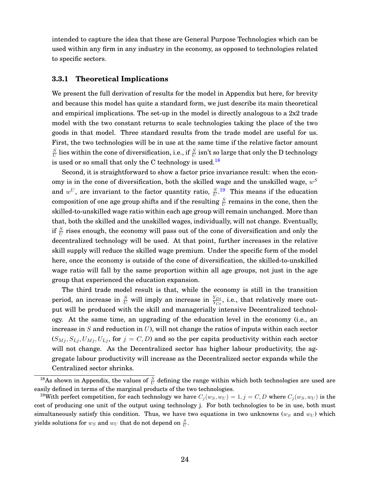intended to capture the idea that these are General Purpose Technologies which can be used within any firm in any industry in the economy, as opposed to technologies related to specific sectors.

#### **3.3.1 Theoretical Implications**

We present the full derivation of results for the model in Appendix but here, for brevity and because this model has quite a standard form, we just describe its main theoretical and empirical implications. The set-up in the model is directly analogous to a 2x2 trade model with the two constant returns to scale technologies taking the place of the two goods in that model. Three standard results from the trade model are useful for us. First, the two technologies will be in use at the same time if the relative factor amount S  $\frac{S}{U}$  lies within the cone of diversification, i.e., if  $\frac{S}{U}$  isn't so large that only the D technology is used or so small that only the C technology is used.<sup>[18](#page-24-0)</sup>

Second, it is straightforward to show a factor price invariance result: when the economy is in the cone of diversification, both the skilled wage and the unskilled wage,  $w^S$ and  $w^U$ , are invariant to the factor quantity ratio,  $\frac{S}{U}$ .<sup>[19](#page-24-1)</sup> This means if the education composition of one age group shifts and if the resulting  $\frac{S}{U}$  remains in the cone, then the skilled-to-unskilled wage ratio within each age group will remain unchanged. More than that, both the skilled and the unskilled wages, individually, will not change. Eventually, if  $\frac{S}{U}$  rises enough, the economy will pass out of the cone of diversification and only the decentralized technology will be used. At that point, further increases in the relative skill supply will reduce the skilled wage premium. Under the specific form of the model here, once the economy is outside of the cone of diversification, the skilled-to-unskilled wage ratio will fall by the same proportion within all age groups, not just in the age group that experienced the education expansion.

The third trade model result is that, while the economy is still in the transition period, an increase in  $\frac{S}{U}$  will imply an increase in  $\frac{Y_{Dt}}{Y_{Ct}}$ , i.e., that relatively more output will be produced with the skill and managerially intensive Decentralized technology. At the same time, an upgrading of the education level in the economy (i.e., an increase in  $S$  and reduction in  $U$ ), will not change the ratios of inputs within each sector  $(S_{Mj}, S_{Lj}, U_{Mj}, U_{Lj},$  for  $j = C, D$ ) and so the per capita productivity within each sector will not change. As the Decentralized sector has higher labour productivity, the aggregate labour productivity will increase as the Decentralized sector expands while the Centralized sector shrinks.

<span id="page-24-0"></span><sup>&</sup>lt;sup>18</sup>As shown in Appendix, the values of  $\frac{S}{U}$  defining the range within which both technologies are used are easily defined in terms of the marginal products of the two technologies.

<span id="page-24-1"></span><sup>&</sup>lt;sup>19</sup>With perfect competition, for each technology we have  $C_j(w_S, w_U) = 1, j = C, D$  where  $C_j(w_S, w_U)$  is the cost of producing one unit of the output using technology j. For both technologies to be in use, both must simultaneously satisfy this condition. Thus, we have two equations in two unknowns ( $w_S$  and  $w_U$ ) which yields solutions for  $w_S$  and  $w_U$  that do not depend on  $\frac{S}{U}.$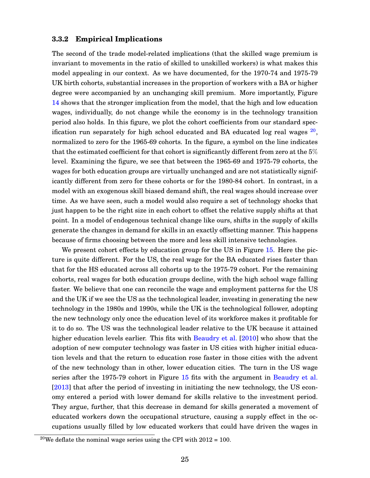#### **3.3.2 Empirical Implications**

The second of the trade model-related implications (that the skilled wage premium is invariant to movements in the ratio of skilled to unskilled workers) is what makes this model appealing in our context. As we have documented, for the 1970-74 and 1975-79 UK birth cohorts, substantial increases in the proportion of workers with a BA or higher degree were accompanied by an unchanging skill premium. More importantly, Figure [14](#page-50-0) shows that the stronger implication from the model, that the high and low education wages, individually, do not change while the economy is in the technology transition period also holds. In this figure, we plot the cohort coefficients from our standard specification run separately for high school educated and BA educated log real wages  $^{20}$  $^{20}$  $^{20}$ , normalized to zero for the 1965-69 cohorts. In the figure, a symbol on the line indicates that the estimated coefficient for that cohort is significantly different from zero at the  $5\%$ level. Examining the figure, we see that between the 1965-69 and 1975-79 cohorts, the wages for both education groups are virtually unchanged and are not statistically significantly different from zero for these cohorts or for the 1980-84 cohort. In contrast, in a model with an exogenous skill biased demand shift, the real wages should increase over time. As we have seen, such a model would also require a set of technology shocks that just happen to be the right size in each cohort to offset the relative supply shifts at that point. In a model of endogenous technical change like ours, shifts in the supply of skills generate the changes in demand for skills in an exactly offsetting manner. This happens because of firms choosing between the more and less skill intensive technologies.

We present cohort effects by education group for the US in Figure [15.](#page-50-1) Here the picture is quite different. For the US, the real wage for the BA educated rises faster than that for the HS educated across all cohorts up to the 1975-79 cohort. For the remaining cohorts, real wages for both education groups decline, with the high school wage falling faster. We believe that one can reconcile the wage and employment patterns for the US and the UK if we see the US as the technological leader, investing in generating the new technology in the 1980s and 1990s, while the UK is the technological follower, adopting the new technology only once the education level of its workforce makes it profitable for it to do so. The US was the technological leader relative to the UK because it attained higher education levels earlier. This fits with [Beaudry et al.](#page-33-9) [\[2010\]](#page-33-9) who show that the adoption of new computer technology was faster in US cities with higher initial education levels and that the return to education rose faster in those cities with the advent of the new technology than in other, lower education cities. The turn in the US wage series after the 1975-79 cohort in Figure [15](#page-50-1) fits with the argument in [Beaudry et al.](#page-33-2) [\[2013\]](#page-33-2) that after the period of investing in initiating the new technology, the US economy entered a period with lower demand for skills relative to the investment period. They argue, further, that this decrease in demand for skills generated a movement of educated workers down the occupational structure, causing a supply effect in the occupations usually filled by low educated workers that could have driven the wages in

<span id="page-25-0"></span><sup>&</sup>lt;sup>20</sup>We deflate the nominal wage series using the CPI with  $2012 = 100$ .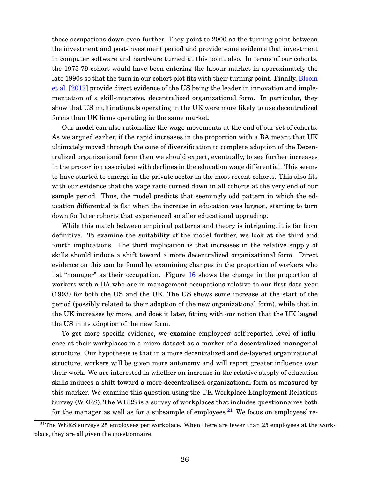those occupations down even further. They point to 2000 as the turning point between the investment and post-investment period and provide some evidence that investment in computer software and hardware turned at this point also. In terms of our cohorts, the 1975-79 cohort would have been entering the labour market in approximately the late 1990s so that the turn in our cohort plot fits with their turning point. Finally, [Bloom](#page-33-0) [et al.](#page-33-0) [\[2012\]](#page-33-0) provide direct evidence of the US being the leader in innovation and implementation of a skill-intensive, decentralized organizational form. In particular, they show that US multinationals operating in the UK were more likely to use decentralized forms than UK firms operating in the same market.

Our model can also rationalize the wage movements at the end of our set of cohorts. As we argued earlier, if the rapid increases in the proportion with a BA meant that UK ultimately moved through the cone of diversification to complete adoption of the Decentralized organizational form then we should expect, eventually, to see further increases in the proportion associated with declines in the education wage differential. This seems to have started to emerge in the private sector in the most recent cohorts. This also fits with our evidence that the wage ratio turned down in all cohorts at the very end of our sample period. Thus, the model predicts that seemingly odd pattern in which the education differential is flat when the increase in education was largest, starting to turn down for later cohorts that experienced smaller educational upgrading.

While this match between empirical patterns and theory is intriguing, it is far from definitive. To examine the suitability of the model further, we look at the third and fourth implications. The third implication is that increases in the relative supply of skills should induce a shift toward a more decentralized organizational form. Direct evidence on this can be found by examining changes in the proportion of workers who list "manager" as their occupation. Figure [16](#page-50-2) shows the change in the proportion of workers with a BA who are in management occupations relative to our first data year (1993) for both the US and the UK. The US shows some increase at the start of the period (possibly related to their adoption of the new organizational form), while that in the UK increases by more, and does it later, fitting with our notion that the UK lagged the US in its adoption of the new form.

To get more specific evidence, we examine employees' self-reported level of influence at their workplaces in a micro dataset as a marker of a decentralized managerial structure. Our hypothesis is that in a more decentralized and de-layered organizational structure, workers will be given more autonomy and will report greater influence over their work. We are interested in whether an increase in the relative supply of education skills induces a shift toward a more decentralized organizational form as measured by this marker. We examine this question using the UK Workplace Employment Relations Survey (WERS). The WERS is a survey of workplaces that includes questionnaires both for the manager as well as for a subsample of employees.<sup>[21](#page-26-0)</sup> We focus on employees' re-

<span id="page-26-0"></span> $21$ The WERS surveys 25 employees per workplace. When there are fewer than 25 employees at the workplace, they are all given the questionnaire.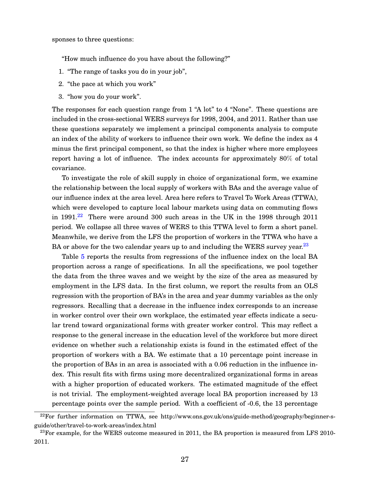sponses to three questions:

"How much influence do you have about the following?"

- 1. "The range of tasks you do in your job",
- 2. "the pace at which you work"
- 3. "how you do your work".

The responses for each question range from 1 "A lot" to 4 "None". These questions are included in the cross-sectional WERS surveys for 1998, 2004, and 2011. Rather than use these questions separately we implement a principal components analysis to compute an index of the ability of workers to influence their own work. We define the index as 4 minus the first principal component, so that the index is higher where more employees report having a lot of influence. The index accounts for approximately 80% of total covariance.

To investigate the role of skill supply in choice of organizational form, we examine the relationship between the local supply of workers with BAs and the average value of our influence index at the area level. Area here refers to Travel To Work Areas (TTWA), which were developed to capture local labour markets using data on commuting flows in 1991.<sup>[22](#page-27-0)</sup> There were around 300 such areas in the UK in the 1998 through 2011 period. We collapse all three waves of WERS to this TTWA level to form a short panel. Meanwhile, we derive from the LFS the proportion of workers in the TTWA who have a BA or above for the two calendar years up to and including the WERS survey year.<sup>[23](#page-27-1)</sup>

Table [5](#page-49-1) reports the results from regressions of the influence index on the local BA proportion across a range of specifications. In all the specifications, we pool together the data from the three waves and we weight by the size of the area as measured by employment in the LFS data. In the first column, we report the results from an OLS regression with the proportion of BA's in the area and year dummy variables as the only regressors. Recalling that a decrease in the influence index corresponds to an increase in worker control over their own workplace, the estimated year effects indicate a secular trend toward organizational forms with greater worker control. This may reflect a response to the general increase in the education level of the workforce but more direct evidence on whether such a relationship exists is found in the estimated effect of the proportion of workers with a BA. We estimate that a 10 percentage point increase in the proportion of BAs in an area is associated with a 0.06 reduction in the influence index. This result fits with firms using more decentralized organizational forms in areas with a higher proportion of educated workers. The estimated magnitude of the effect is not trivial. The employment-weighted average local BA proportion increased by 13 percentage points over the sample period. With a coefficient of -0.6, the 13 percentage

<span id="page-27-0"></span><sup>&</sup>lt;sup>22</sup>For further information on TTWA, see http://www.ons.gov.uk/ons/guide-method/geography/beginner-sguide/other/travel-to-work-areas/index.html

<span id="page-27-1"></span> $^{23}$ For example, for the WERS outcome measured in 2011, the BA proportion is measured from LFS 2010-2011.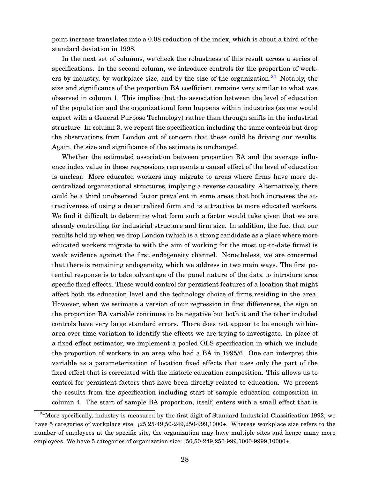point increase translates into a 0.08 reduction of the index, which is about a third of the standard deviation in 1998.

In the next set of columns, we check the robustness of this result across a series of specifications. In the second column, we introduce controls for the proportion of workers by industry, by workplace size, and by the size of the organization. $^{24}$  $^{24}$  $^{24}$  Notably, the size and significance of the proportion BA coefficient remains very similar to what was observed in column 1. This implies that the association between the level of education of the population and the organizational form happens within industries (as one would expect with a General Purpose Technology) rather than through shifts in the industrial structure. In column 3, we repeat the specification including the same controls but drop the observations from London out of concern that these could be driving our results. Again, the size and significance of the estimate is unchanged.

Whether the estimated association between proportion BA and the average influence index value in these regressions represents a causal effect of the level of education is unclear. More educated workers may migrate to areas where firms have more decentralized organizational structures, implying a reverse causality. Alternatively, there could be a third unobserved factor prevalent in some areas that both increases the attractiveness of using a decentralized form and is attractive to more educated workers. We find it difficult to determine what form such a factor would take given that we are already controlling for industrial structure and firm size. In addition, the fact that our results hold up when we drop London (which is a strong candidate as a place where more educated workers migrate to with the aim of working for the most up-to-date firms) is weak evidence against the first endogeneity channel. Nonetheless, we are concerned that there is remaining endogeneity, which we address in two main ways. The first potential response is to take advantage of the panel nature of the data to introduce area specific fixed effects. These would control for persistent features of a location that might affect both its education level and the technology choice of firms residing in the area. However, when we estimate a version of our regression in first differences, the sign on the proportion BA variable continues to be negative but both it and the other included controls have very large standard errors. There does not appear to be enough withinarea over-time variation to identify the effects we are trying to investigate. In place of a fixed effect estimator, we implement a pooled OLS specification in which we include the proportion of workers in an area who had a BA in 1995/6. One can interpret this variable as a parameterization of location fixed effects that uses only the part of the fixed effect that is correlated with the historic education composition. This allows us to control for persistent factors that have been directly related to education. We present the results from the specification including start of sample education composition in column 4. The start of sample BA proportion, itself, enters with a small effect that is

<span id="page-28-0"></span> $^{24}$ More specifically, industry is measured by the first digit of Standard Industrial Classification 1992; we have 5 categories of workplace size:  $(25,25-49,50-249,250-999,1000)$ . Whereas workplace size refers to the number of employees at the specific site, the organization may have multiple sites and hence many more employees. We have 5 categories of organization size: ¡50,50-249,250-999,1000-9999,10000+.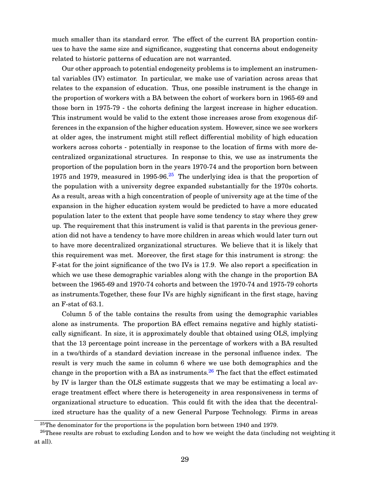much smaller than its standard error. The effect of the current BA proportion continues to have the same size and significance, suggesting that concerns about endogeneity related to historic patterns of education are not warranted.

Our other approach to potential endogeneity problems is to implement an instrumental variables (IV) estimator. In particular, we make use of variation across areas that relates to the expansion of education. Thus, one possible instrument is the change in the proportion of workers with a BA between the cohort of workers born in 1965-69 and those born in 1975-79 - the cohorts defining the largest increase in higher education. This instrument would be valid to the extent those increases arose from exogenous differences in the expansion of the higher education system. However, since we see workers at older ages, the instrument might still reflect differential mobility of high education workers across cohorts - potentially in response to the location of firms with more decentralized organizational structures. In response to this, we use as instruments the proportion of the population born in the years 1970-74 and the proportion born between 1975 and 1979, measured in 1995-96. $25$  The underlying idea is that the proportion of the population with a university degree expanded substantially for the 1970s cohorts. As a result, areas with a high concentration of people of university age at the time of the expansion in the higher education system would be predicted to have a more educated population later to the extent that people have some tendency to stay where they grew up. The requirement that this instrument is valid is that parents in the previous generation did not have a tendency to have more children in areas which would later turn out to have more decentralized organizational structures. We believe that it is likely that this requirement was met. Moreover, the first stage for this instrument is strong: the F-stat for the joint significance of the two IVs is 17.9. We also report a specification in which we use these demographic variables along with the change in the proportion BA between the 1965-69 and 1970-74 cohorts and between the 1970-74 and 1975-79 cohorts as instruments.Together, these four IVs are highly significant in the first stage, having an F-stat of 63.1.

Column 5 of the table contains the results from using the demographic variables alone as instruments. The proportion BA effect remains negative and highly statistically significant. In size, it is approximately double that obtained using OLS, implying that the 13 percentage point increase in the percentage of workers with a BA resulted in a two/thirds of a standard deviation increase in the personal influence index. The result is very much the same in column 6 where we use both demographics and the change in the proportion with a BA as instruments.<sup>[26](#page-29-1)</sup> The fact that the effect estimated by IV is larger than the OLS estimate suggests that we may be estimating a local average treatment effect where there is heterogeneity in area responsiveness in terms of organizational structure to education. This could fit with the idea that the decentralized structure has the quality of a new General Purpose Technology. Firms in areas

<span id="page-29-1"></span><span id="page-29-0"></span> $25$ The denominator for the proportions is the population born between 1940 and 1979.

<sup>&</sup>lt;sup>26</sup>These results are robust to excluding London and to how we weight the data (including not weighting it at all).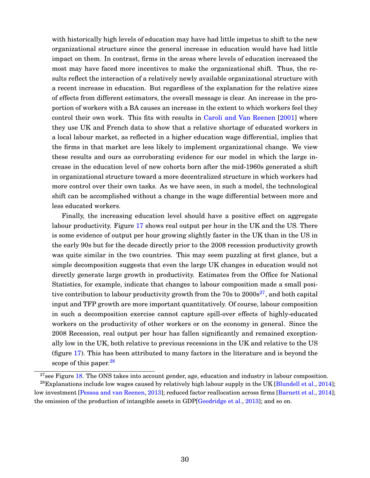with historically high levels of education may have had little impetus to shift to the new organizational structure since the general increase in education would have had little impact on them. In contrast, firms in the areas where levels of education increased the most may have faced more incentives to make the organizational shift. Thus, the results reflect the interaction of a relatively newly available organizational structure with a recent increase in education. But regardless of the explanation for the relative sizes of effects from different estimators, the overall message is clear. An increase in the proportion of workers with a BA causes an increase in the extent to which workers feel they control their own work. This fits with results in [Caroli and Van Reenen](#page-34-3) [\[2001\]](#page-34-3) where they use UK and French data to show that a relative shortage of educated workers in a local labour market, as reflected in a higher education wage differential, implies that the firms in that market are less likely to implement organizational change. We view these results and ours as corroborating evidence for our model in which the large increase in the education level of new cohorts born after the mid-1960s generated a shift in organizational structure toward a more decentralized structure in which workers had more control over their own tasks. As we have seen, in such a model, the technological shift can be accomplished without a change in the wage differential between more and less educated workers.

Finally, the increasing education level should have a positive effect on aggregate labour productivity. Figure [17](#page-52-0) shows real output per hour in the UK and the US. There is some evidence of output per hour growing slightly faster in the UK than in the US in the early 90s but for the decade directly prior to the 2008 recession productivity growth was quite similar in the two countries. This may seem puzzling at first glance, but a simple decomposition suggests that even the large UK changes in education would not directly generate large growth in productivity. Estimates from the Office for National Statistics, for example, indicate that changes to labour composition made a small positive contribution to labour productivity growth from the 70s to  $2000s^{27}$  $2000s^{27}$  $2000s^{27}$ , and both capital input and TFP growth are more important quantitatively. Of course, labour composition in such a decomposition exercise cannot capture spill-over effects of highly-educated workers on the productivity of other workers or on the economy in general. Since the 2008 Recession, real output per hour has fallen significantly and remained exceptionally low in the UK, both relative to previous recessions in the UK and relative to the US (figure [17\)](#page-52-0). This has been attributed to many factors in the literature and is beyond the scope of this paper. $^{28}$  $^{28}$  $^{28}$ 

<span id="page-30-1"></span><span id="page-30-0"></span> $27$ see Figure [18.](#page-52-1) The ONS takes into account gender, age, education and industry in labour composition.

 $^{28}$ Explanations include low wages caused by relatively high labour supply in the UK [\[Blundell et al.,](#page-33-10) [2014\]](#page-33-10); low investment [\[Pessoa and van Reenen,](#page-35-12) [2013\]](#page-35-12); reduced factor reallocation across firms [\[Barnett et al.,](#page-33-11) [2014\]](#page-33-11); the omission of the production of intangible assets in GDP[\[Goodridge et al.,](#page-34-13) [2013\]](#page-34-13); and so on.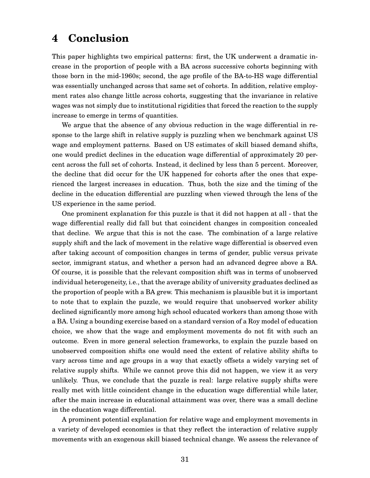### **4 Conclusion**

This paper highlights two empirical patterns: first, the UK underwent a dramatic increase in the proportion of people with a BA across successive cohorts beginning with those born in the mid-1960s; second, the age profile of the BA-to-HS wage differential was essentially unchanged across that same set of cohorts. In addition, relative employment rates also change little across cohorts, suggesting that the invariance in relative wages was not simply due to institutional rigidities that forced the reaction to the supply increase to emerge in terms of quantities.

We argue that the absence of any obvious reduction in the wage differential in response to the large shift in relative supply is puzzling when we benchmark against US wage and employment patterns. Based on US estimates of skill biased demand shifts, one would predict declines in the education wage differential of approximately 20 percent across the full set of cohorts. Instead, it declined by less than 5 percent. Moreover, the decline that did occur for the UK happened for cohorts after the ones that experienced the largest increases in education. Thus, both the size and the timing of the decline in the education differential are puzzling when viewed through the lens of the US experience in the same period.

One prominent explanation for this puzzle is that it did not happen at all - that the wage differential really did fall but that coincident changes in composition concealed that decline. We argue that this is not the case. The combination of a large relative supply shift and the lack of movement in the relative wage differential is observed even after taking account of composition changes in terms of gender, public versus private sector, immigrant status, and whether a person had an advanced degree above a BA. Of course, it is possible that the relevant composition shift was in terms of unobserved individual heterogeneity, i.e., that the average ability of university graduates declined as the proportion of people with a BA grew. This mechanism is plausible but it is important to note that to explain the puzzle, we would require that unobserved worker ability declined significantly more among high school educated workers than among those with a BA. Using a bounding exercise based on a standard version of a Roy model of education choice, we show that the wage and employment movements do not fit with such an outcome. Even in more general selection frameworks, to explain the puzzle based on unobserved composition shifts one would need the extent of relative ability shifts to vary across time and age groups in a way that exactly offsets a widely varying set of relative supply shifts. While we cannot prove this did not happen, we view it as very unlikely. Thus, we conclude that the puzzle is real: large relative supply shifts were really met with little coincident change in the education wage differential while later, after the main increase in educational attainment was over, there was a small decline in the education wage differential.

A prominent potential explanation for relative wage and employment movements in a variety of developed economies is that they reflect the interaction of relative supply movements with an exogenous skill biased technical change. We assess the relevance of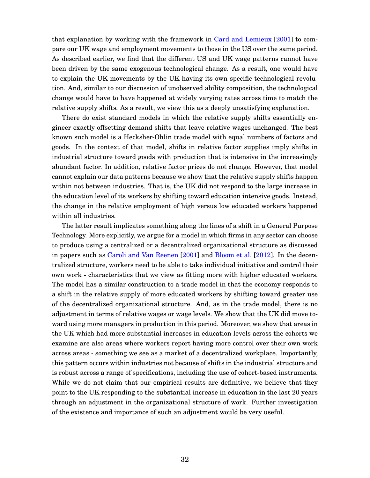that explanation by working with the framework in [Card and Lemieux](#page-34-0) [\[2001\]](#page-34-0) to compare our UK wage and employment movements to those in the US over the same period. As described earlier, we find that the different US and UK wage patterns cannot have been driven by the same exogenous technological change. As a result, one would have to explain the UK movements by the UK having its own specific technological revolution. And, similar to our discussion of unobserved ability composition, the technological change would have to have happened at widely varying rates across time to match the relative supply shifts. As a result, we view this as a deeply unsatisfying explanation.

There do exist standard models in which the relative supply shifts essentially engineer exactly offsetting demand shifts that leave relative wages unchanged. The best known such model is a Hecksher-Ohlin trade model with equal numbers of factors and goods. In the context of that model, shifts in relative factor supplies imply shifts in industrial structure toward goods with production that is intensive in the increasingly abundant factor. In addition, relative factor prices do not change. However, that model cannot explain our data patterns because we show that the relative supply shifts happen within not between industries. That is, the UK did not respond to the large increase in the education level of its workers by shifting toward education intensive goods. Instead, the change in the relative employment of high versus low educated workers happened within all industries.

The latter result implicates something along the lines of a shift in a General Purpose Technology. More explicitly, we argue for a model in which firms in any sector can choose to produce using a centralized or a decentralized organizational structure as discussed in papers such as [Caroli and Van Reenen](#page-34-3) [\[2001\]](#page-34-3) and [Bloom et al.](#page-33-0) [\[2012\]](#page-33-0). In the decentralized structure, workers need to be able to take individual initiative and control their own work - characteristics that we view as fitting more with higher educated workers. The model has a similar construction to a trade model in that the economy responds to a shift in the relative supply of more educated workers by shifting toward greater use of the decentralized organizational structure. And, as in the trade model, there is no adjustment in terms of relative wages or wage levels. We show that the UK did move toward using more managers in production in this period. Moreover, we show that areas in the UK which had more substantial increases in education levels across the cohorts we examine are also areas where workers report having more control over their own work across areas - something we see as a market of a decentralized workplace. Importantly, this pattern occurs within industries not because of shifts in the industrial structure and is robust across a range of specifications, including the use of cohort-based instruments. While we do not claim that our empirical results are definitive, we believe that they point to the UK responding to the substantial increase in education in the last 20 years through an adjustment in the organizational structure of work. Further investigation of the existence and importance of such an adjustment would be very useful.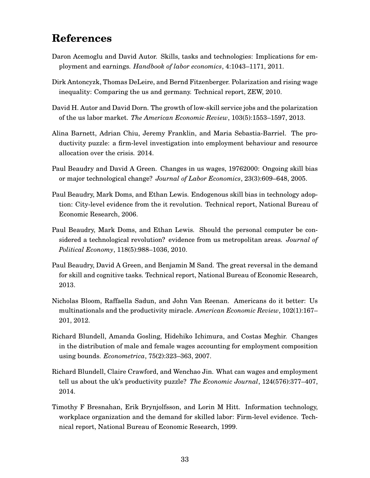## **References**

- <span id="page-33-6"></span>Daron Acemoglu and David Autor. Skills, tasks and technologies: Implications for employment and earnings. *Handbook of labor economics*, 4:1043–1171, 2011.
- <span id="page-33-3"></span>Dirk Antoncyzk, Thomas DeLeire, and Bernd Fitzenberger. Polarization and rising wage inequality: Comparing the us and germany. Technical report, ZEW, 2010.
- <span id="page-33-8"></span>David H. Autor and David Dorn. The growth of low-skill service jobs and the polarization of the us labor market. *The American Economic Review*, 103(5):1553–1597, 2013.
- <span id="page-33-11"></span>Alina Barnett, Adrian Chiu, Jeremy Franklin, and Maria Sebastia-Barriel. The productivity puzzle: a firm-level investigation into employment behaviour and resource allocation over the crisis. 2014.
- <span id="page-33-7"></span>Paul Beaudry and David A Green. Changes in us wages, 19762000: Ongoing skill bias or major technological change? *Journal of Labor Economics*, 23(3):609–648, 2005.
- <span id="page-33-1"></span>Paul Beaudry, Mark Doms, and Ethan Lewis. Endogenous skill bias in technology adoption: City-level evidence from the it revolution. Technical report, National Bureau of Economic Research, 2006.
- <span id="page-33-9"></span>Paul Beaudry, Mark Doms, and Ethan Lewis. Should the personal computer be considered a technological revolution? evidence from us metropolitan areas. *Journal of Political Economy*, 118(5):988–1036, 2010.
- <span id="page-33-2"></span>Paul Beaudry, David A Green, and Benjamin M Sand. The great reversal in the demand for skill and cognitive tasks. Technical report, National Bureau of Economic Research, 2013.
- <span id="page-33-0"></span>Nicholas Bloom, Raffaella Sadun, and John Van Reenan. Americans do it better: Us multinationals and the productivity miracle. *American Economic Review*, 102(1):167– 201, 2012.
- <span id="page-33-5"></span>Richard Blundell, Amanda Gosling, Hidehiko Ichimura, and Costas Meghir. Changes in the distribution of male and female wages accounting for employment composition using bounds. *Econometrica*, 75(2):323–363, 2007.
- <span id="page-33-10"></span>Richard Blundell, Claire Crawford, and Wenchao Jin. What can wages and employment tell us about the uk's productivity puzzle? *The Economic Journal*, 124(576):377–407, 2014.
- <span id="page-33-4"></span>Timothy F Bresnahan, Erik Brynjolfsson, and Lorin M Hitt. Information technology, workplace organization and the demand for skilled labor: Firm-level evidence. Technical report, National Bureau of Economic Research, 1999.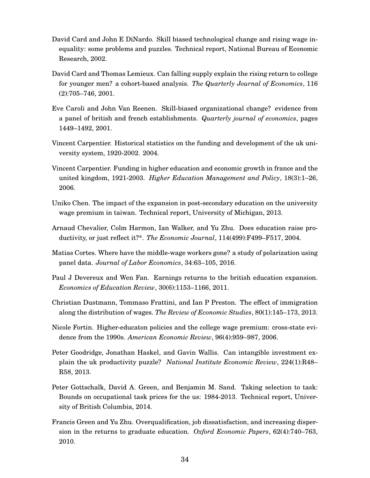- <span id="page-34-9"></span>David Card and John E DiNardo. Skill biased technological change and rising wage inequality: some problems and puzzles. Technical report, National Bureau of Economic Research, 2002.
- <span id="page-34-0"></span>David Card and Thomas Lemieux. Can falling supply explain the rising return to college for younger men? a cohort-based analysis. *The Quarterly Journal of Economics*, 116 (2):705–746, 2001.
- <span id="page-34-3"></span>Eve Caroli and John Van Reenen. Skill-biased organizational change? evidence from a panel of british and french establishments. *Quarterly journal of economics*, pages 1449–1492, 2001.
- <span id="page-34-4"></span>Vincent Carpentier. Historical statistics on the funding and development of the uk university system, 1920-2002. 2004.
- <span id="page-34-7"></span>Vincent Carpentier. Funding in higher education and economic growth in france and the united kingdom, 1921-2003. *Higher Education Management and Policy*, 18(3):1–26, 2006.
- <span id="page-34-1"></span>Uniko Chen. The impact of the expansion in post-secondary education on the university wage premium in taiwan. Technical report, University of Michigan, 2013.
- <span id="page-34-10"></span>Arnaud Chevalier, Colm Harmon, Ian Walker, and Yu Zhu. Does education raise productivity, or just reflect it?\*. *The Economic Journal*, 114(499):F499–F517, 2004.
- <span id="page-34-12"></span>Matias Cortes. Where have the middle-wage workers gone? a study of polarization using panel data. *Journal of Labor Economics*, 34:63–105, 2016.
- <span id="page-34-6"></span>Paul J Devereux and Wen Fan. Earnings returns to the british education expansion. *Economics of Education Review*, 30(6):1153–1166, 2011.
- <span id="page-34-2"></span>Christian Dustmann, Tommaso Frattini, and Ian P Preston. The effect of immigration along the distribution of wages. *The Review of Economic Studies*, 80(1):145–173, 2013.
- <span id="page-34-8"></span>Nicole Fortin. Higher-educaton policies and the college wage premium: cross-state evidence from the 1990s. *American Economic Review*, 96(4):959–987, 2006.
- <span id="page-34-13"></span>Peter Goodridge, Jonathan Haskel, and Gavin Wallis. Can intangible investment explain the uk productivity puzzle? *National Institute Economic Review*, 224(1):R48– R58, 2013.
- <span id="page-34-11"></span>Peter Gottschalk, David A. Green, and Benjamin M. Sand. Taking selection to task: Bounds on occupational task prices for the us: 1984-2013. Technical report, University of British Columbia, 2014.
- <span id="page-34-5"></span>Francis Green and Yu Zhu. Overqualification, job dissatisfaction, and increasing dispersion in the returns to graduate education. *Oxford Economic Papers*, 62(4):740–763, 2010.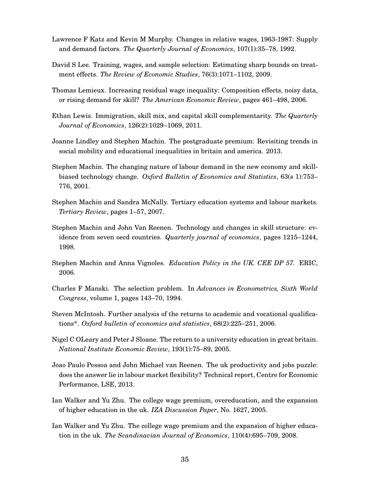- <span id="page-35-14"></span>Lawrence F Katz and Kevin M Murphy. Changes in relative wages, 1963-1987: Supply and demand factors. *The Quarterly Journal of Economics*, 107(1):35–78, 1992.
- <span id="page-35-10"></span>David S Lee. Training, wages, and sample selection: Estimating sharp bounds on treatment effects. *The Review of Economic Studies*, 76(3):1071–1102, 2009.
- <span id="page-35-13"></span>Thomas Lemieux. Increasing residual wage inequality: Composition effects, noisy data, or rising demand for skill? *The American Economic Review*, pages 461–498, 2006.
- <span id="page-35-11"></span>Ethan Lewis. Immigration, skill mix, and capital skill complementarity. *The Quarterly Journal of Economics*, 126(2):1029–1069, 2011.
- <span id="page-35-1"></span>Joanne Lindley and Stephen Machin. The postgraduate premium: Revisiting trends in social mobility and educational inequalities in britain and america. 2013.
- <span id="page-35-0"></span>Stephen Machin. The changing nature of labour demand in the new economy and skillbiased technology change. *Oxford Bulletin of Economics and Statistics*, 63(s 1):753– 776, 2001.
- <span id="page-35-4"></span>Stephen Machin and Sandra McNally. Tertiary education systems and labour markets. *Tertiary Review*, pages 1–57, 2007.
- <span id="page-35-8"></span>Stephen Machin and John Van Reenen. Technology and changes in skill structure: evidence from seven oecd countries. *Quarterly journal of economics*, pages 1215–1244, 1998.
- <span id="page-35-6"></span>Stephen Machin and Anna Vignoles. *Education Policy in the UK. CEE DP 57.* ERIC, 2006.
- <span id="page-35-9"></span>Charles F Manski. The selection problem. In *Advances in Econometrics, Sixth World Congress*, volume 1, pages 143–70, 1994.
- <span id="page-35-5"></span>Steven McIntosh. Further analysis of the returns to academic and vocational qualifications\*. *Oxford bulletin of economics and statistics*, 68(2):225–251, 2006.
- <span id="page-35-2"></span>Nigel C OLeary and Peter J Sloane. The return to a university education in great britain. *National Institute Economic Review*, 193(1):75–89, 2005.
- <span id="page-35-12"></span>Joao Paulo Pessoa and John Michael van Reenen. The uk productivity and jobs puzzle: does the answer lie in labour market flexibility? Technical report, Centre for Economic Performance, LSE, 2013.
- <span id="page-35-7"></span>Ian Walker and Yu Zhu. The college wage premium, overeducation, and the expansion of higher education in the uk. *IZA Discussion Paper*, No. 1627, 2005.
- <span id="page-35-3"></span>Ian Walker and Yu Zhu. The college wage premium and the expansion of higher education in the uk. *The Scandinavian Journal of Economics*, 110(4):695–709, 2008.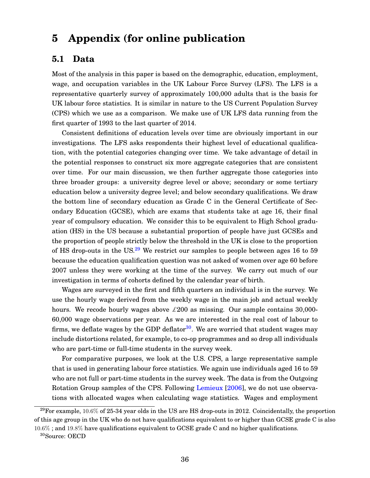## **5 Appendix (for online publication**

### **5.1 Data**

Most of the analysis in this paper is based on the demographic, education, employment, wage, and occupation variables in the UK Labour Force Survey (LFS). The LFS is a representative quarterly survey of approximately 100,000 adults that is the basis for UK labour force statistics. It is similar in nature to the US Current Population Survey (CPS) which we use as a comparison. We make use of UK LFS data running from the first quarter of 1993 to the last quarter of 2014.

Consistent definitions of education levels over time are obviously important in our investigations. The LFS asks respondents their highest level of educational qualification, with the potential categories changing over time. We take advantage of detail in the potential responses to construct six more aggregate categories that are consistent over time. For our main discussion, we then further aggregate those categories into three broader groups: a university degree level or above; secondary or some tertiary education below a university degree level; and below secondary qualifications. We draw the bottom line of secondary education as Grade C in the General Certificate of Secondary Education (GCSE), which are exams that students take at age 16, their final year of compulsory education. We consider this to be equivalent to High School graduation (HS) in the US because a substantial proportion of people have just GCSEs and the proportion of people strictly below the threshold in the UK is close to the proportion of HS drop-outs in the US.<sup>[29](#page-36-0)</sup> We restrict our samples to people between ages 16 to 59 because the education qualification question was not asked of women over age 60 before 2007 unless they were working at the time of the survey. We carry out much of our investigation in terms of cohorts defined by the calendar year of birth.

Wages are surveyed in the first and fifth quarters an individual is in the survey. We use the hourly wage derived from the weekly wage in the main job and actual weekly hours. We recode hourly wages above  $\pounds 200$  as missing. Our sample contains 30,000-60,000 wage observations per year. As we are interested in the real cost of labour to firms, we deflate wages by the GDP deflator<sup>[30](#page-36-1)</sup>. We are worried that student wages may include distortions related, for example, to co-op programmes and so drop all individuals who are part-time or full-time students in the survey week.

For comparative purposes, we look at the U.S. CPS, a large representative sample that is used in generating labour force statistics. We again use individuals aged 16 to 59 who are not full or part-time students in the survey week. The data is from the Outgoing Rotation Group samples of the CPS. Following [Lemieux](#page-35-13) [\[2006\]](#page-35-13), we do not use observations with allocated wages when calculating wage statistics. Wages and employment

<span id="page-36-0"></span> $^{29}$ For example, 10.6% of 25-34 year olds in the US are HS drop-outs in 2012. Coincidentally, the proportion of this age group in the UK who do not have qualifications equivalent to or higher than GCSE grade C is also  $10.6\%$ ; and  $19.8\%$  have qualifications equivalent to GCSE grade C and no higher qualifications.

<span id="page-36-1"></span><sup>30</sup>Source: OECD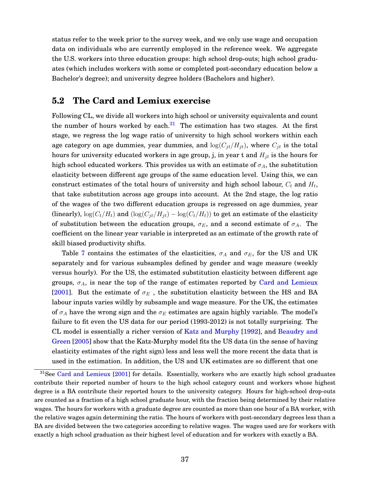status refer to the week prior to the survey week, and we only use wage and occupation data on individuals who are currently employed in the reference week. We aggregate the U.S. workers into three education groups: high school drop-outs; high school graduates (which includes workers with some or completed post-secondary education below a Bachelor's degree); and university degree holders (Bachelors and higher).

### **5.2 The Card and Lemiux exercise**

Following CL, we divide all workers into high school or university equivalents and count the number of hours worked by each. $31$  The estimation has two stages. At the first stage, we regress the log wage ratio of university to high school workers within each age category on age dummies, year dummies, and  $log(C_{it}/H_{it})$ , where  $C_{it}$  is the total hours for university educated workers in age group, j, in year t and  $H_{jt}$  is the hours for high school educated workers. This provides us with an estimate of  $\sigma_A$ , the substitution elasticity between different age groups of the same education level. Using this, we can construct estimates of the total hours of university and high school labour,  $C_t$  and  $H_t$ , that take substitution across age groups into account. At the 2nd stage, the log ratio of the wages of the two different education groups is regressed on age dummies, year (linearly),  $\log(C_t/H_t)$  and  $(\log(C_{jt}/H_{jt}) - \log(C_t/H_t))$  to get an estimate of the elasticity of substitution between the education groups,  $\sigma_E$ , and a second estimate of  $\sigma_A$ . The coefficient on the linear year variable is interpreted as an estimate of the growth rate of skill biased productivity shifts.

Table [7](#page-51-0) contains the estimates of the elasticities,  $\sigma_A$  and  $\sigma_E$ , for the US and UK separately and for various subsamples defined by gender and wage measure (weekly versus hourly). For the US, the estimated substitution elasticity between different age groups,  $\sigma_A$ , is near the top of the range of estimates reported by [Card and Lemieux](#page-34-0) [\[2001\]](#page-34-0). But the estimate of  $\sigma_E$ , the substitution elasticity between the HS and BA labour inputs varies wildly by subsample and wage measure. For the UK, the estimates of  $\sigma_A$  have the wrong sign and the  $\sigma_E$  estimates are again highly variable. The model's failure to fit even the US data for our period (1993-2012) is not totally surprising. The CL model is essentially a richer version of [Katz and Murphy](#page-35-14) [\[1992\]](#page-35-14), and [Beaudry and](#page-33-7) [Green](#page-33-7) [\[2005\]](#page-33-7) show that the Katz-Murphy model fits the US data (in the sense of having elasticity estimates of the right sign) less and less well the more recent the data that is used in the estimation. In addition, the US and UK estimates are so different that one

<span id="page-37-0"></span> $31$ See [Card and Lemieux](#page-34-0) [\[2001\]](#page-34-0) for details. Essentially, workers who are exactly high school graduates contribute their reported number of hours to the high school category count and workers whose highest degree is a BA contribute their reported hours to the university category. Hours for high-school drop-outs are counted as a fraction of a high school graduate hour, with the fraction being determined by their relative wages. The hours for workers with a graduate degree are counted as more than one hour of a BA worker, with the relative wages again determining the ratio. The hours of workers with post-secondary degrees less than a BA are divided between the two categories according to relative wages. The wages used are for workers with exactly a high school graduation as their highest level of education and for workers with exactly a BA.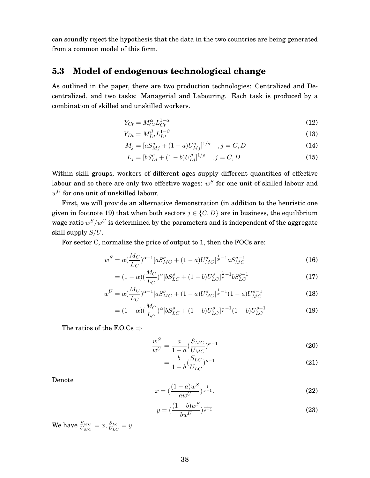can soundly reject the hypothesis that the data in the two countries are being generated from a common model of this form.

### **5.3 Model of endogenous technological change**

As outlined in the paper, there are two production technologies: Centralized and Decentralized, and two tasks: Managerial and Labouring. Each task is produced by a combination of skilled and unskilled workers.

$$
Y_{C_t} = M_{C_t}^{\alpha} L_{C_t}^{1-\alpha} \tag{12}
$$

$$
Y_{Dt} = M_{Dt}^{\beta} L_{Dt}^{1-\beta} \tag{13}
$$

$$
M_j = [aS_{Mj}^{\sigma} + (1 - a)U_{Mj}^{\sigma}]^{1/\sigma} \quad , j = C, D \tag{14}
$$

$$
L_j = [bS_{Lj}^{\rho} + (1 - b)U_{Lj}^{\rho}]^{1/\rho} \quad , j = C, D \tag{15}
$$

Within skill groups, workers of different ages supply different quantities of effective labour and so there are only two effective wages:  $w^S$  for one unit of skilled labour and  $w^U$  for one unit of unskilled labour.

First, we will provide an alternative demonstration (in addition to the heuristic one given in footnote 19) that when both sectors  $j \in \{C, D\}$  are in business, the equilibrium wage ratio  $w^S/w^U$  is determined by the parameters and is independent of the aggregate skill supply  $S/U$ .

For sector C, normalize the price of output to 1, then the FOCs are:

$$
w^{S} = \alpha \left(\frac{M_{C}}{L_{C}}\right)^{\alpha - 1} \left[aS_{MC}^{\sigma} + (1 - a)U_{MC}^{\sigma}\right]^{\frac{1}{\sigma} - 1} aS_{MC}^{\sigma - 1}
$$
\n(16)

$$
= (1 - \alpha) \left(\frac{M_C}{L_C}\right)^{\alpha} \left[ bS_{LC}^{\rho} + (1 - b)U_{LC}^{\rho} \right]^{\frac{1}{\rho} - 1} bS_{LC}^{\rho - 1}
$$
\n(17)

$$
w^{U} = \alpha \left(\frac{M_C}{L_C}\right)^{\alpha - 1} \left[aS_{MC}^{\sigma} + (1 - a)U_{MC}^{\sigma}\right]^{\frac{1}{\sigma} - 1} (1 - a)U_{MC}^{\sigma - 1}
$$
(18)

$$
= (1 - \alpha) \left(\frac{M_C}{L_C}\right)^{\alpha} \left[ bS_{LC}^{\rho} + (1 - b)U_{LC}^{\rho} \right]^{\frac{1}{\rho} - 1} (1 - b)U_{LC}^{\rho - 1}
$$
\n(19)

The ratios of the F.O.Cs  $\Rightarrow$ 

$$
\frac{w^S}{w^U} = \frac{a}{1 - a} (\frac{S_{MC}}{U_{MC}})^{\sigma - 1}
$$
\n(20)

$$
=\frac{b}{1-b}(\frac{S_{LC}}{U_{LC}})^{\rho-1}
$$
\n(21)

Denote

$$
x = \left(\frac{(1-a)w^S}{aw^U}\right)^{\frac{1}{\sigma - 1}},\tag{22}
$$

$$
y = \left(\frac{(1-b)w^S}{bw^U}\right)^{\frac{1}{\rho-1}}
$$
 (23)

We have  $\frac{S_{MC}}{U_{MC}} = x, \frac{S_{LC}}{U_{LC}} = y$ .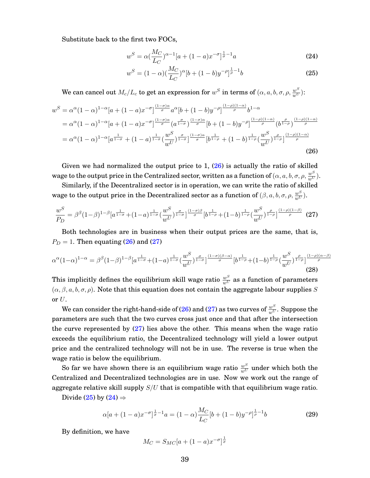Substitute back to the first two FOCs,

<span id="page-39-3"></span>
$$
w^{S} = \alpha \left(\frac{M_{C}}{L_{C}}\right)^{\alpha - 1} [a + (1 - a)x^{-\sigma}]^{\frac{1}{\sigma} - 1} a \tag{24}
$$

<span id="page-39-2"></span><span id="page-39-0"></span>
$$
w^{S} = (1 - \alpha) \left(\frac{M_C}{L_C}\right)^{\alpha} \left[b + (1 - b)y^{-\rho}\right]^{\frac{1}{\rho} - 1} b \tag{25}
$$

We can cancel out  $M_c/L_c$  to get an expression for  $w^S$  in terms of  $(\alpha, a, b, \sigma, \rho, \frac{w^S}{w^U})$ :

$$
w^{S} = \alpha^{\alpha} (1 - \alpha)^{1 - \alpha} [a + (1 - a)x^{-\sigma}]^{\frac{(1 - \sigma)\alpha}{\sigma}} a^{\alpha} [b + (1 - b)y^{-\rho}]^{\frac{(1 - \rho)(1 - \alpha)}{\rho}} b^{1 - \alpha}
$$
  
=  $\alpha^{\alpha} (1 - \alpha)^{1 - \alpha} [a + (1 - a)x^{-\sigma}]^{\frac{(1 - \sigma)\alpha}{\sigma}} (a^{\frac{\sigma}{1 - \sigma}})^{\frac{(1 - \sigma)\alpha}{\sigma}} [b + (1 - b)y^{-\rho}]^{\frac{(1 - \rho)(1 - \alpha)}{\rho}} (b^{\frac{\rho}{1 - \rho}})^{\frac{(1 - \rho)(1 - \alpha)}{\rho}}=  $\alpha^{\alpha} (1 - \alpha)^{1 - \alpha} [a^{\frac{1}{1 - \sigma}} + (1 - a)^{\frac{1}{1 - \sigma}} (\frac{w^{S}}{w^{U}})^{\frac{\sigma}{1 - \sigma}}]^{\frac{(1 - \sigma)\alpha}{\sigma}} [b^{\frac{1}{1 - \rho}} + (1 - b)^{\frac{1}{1 - \rho}} (\frac{w^{S}}{w^{U}})^{\frac{\rho}{1 - \rho}}]^{\frac{(1 - \rho)(1 - \alpha)}{\rho}} (26)$$ 

Given we had normalized the output price to  $1, (26)$  $1, (26)$  is actually the ratio of skilled wage to the output price in the Centralized sector, written as a function of  $(\alpha, a, b, \sigma, \rho, \frac{w^S}{w^U}).$ 

Similarly, if the Decentralized sector is in operation, we can write the ratio of skilled wage to the output price in the Decentralized sector as a function of  $(\beta, a, b, \sigma, \rho, \frac{w^S}{w^U}).$ 

<span id="page-39-1"></span>
$$
\frac{w^S}{P_D} = \beta^{\beta} (1-\beta)^{1-\beta} [a^{\frac{1}{1-\sigma}} + (1-a)^{\frac{1}{1-\sigma}} (\frac{w^S}{w^U})^{\frac{\sigma}{1-\sigma}}]^{\frac{(1-\sigma)\beta}{\sigma}} [b^{\frac{1}{1-\rho}} + (1-b)^{\frac{1}{1-\rho}} (\frac{w^S}{w^U})^{\frac{\rho}{1-\rho}}]^{\frac{(1-\rho)(1-\beta)}{\rho}} (27)
$$

Both technologies are in business when their output prices are the same, that is,  $P_D = 1$ . Then equating [\(26\)](#page-39-0) and [\(27\)](#page-39-1)

$$
\alpha^{\alpha}(1-\alpha)^{1-\alpha} = \beta^{\beta}(1-\beta)^{1-\beta}\left[a^{\frac{1}{1-\sigma}}+(1-a)^{\frac{1}{1-\sigma}}\left(\frac{w^S}{w^U}\right)^{\frac{\sigma}{1-\sigma}}\right]^{\frac{(1-\sigma)(\beta-\alpha)}{\sigma}}\left[b^{\frac{1}{1-\rho}}+(1-b)^{\frac{1}{1-\rho}}\left(\frac{w^S}{w^U}\right)^{\frac{\rho}{1-\rho}}\right]^{\frac{(1-\rho)(\alpha-\beta)}{\rho}}(28)
$$

This implicitly defines the equilibrium skill wage ratio  $\frac{w^S}{w^U}$  as a function of parameters  $(\alpha, \beta, a, b, \sigma, \rho)$ . Note that this equation does not contain the aggregate labour supplies S or U.

We can consider the right-hand-side of [\(26\)](#page-39-0) and [\(27\)](#page-39-1) as two curves of  $\frac{w^S}{w^U}.$  Suppose the parameters are such that the two curves cross just once and that after the intersection the curve represented by [\(27\)](#page-39-1) lies above the other. This means when the wage ratio exceeds the equilibrium ratio, the Decentralized technology will yield a lower output price and the centralized technology will not be in use. The reverse is true when the wage ratio is below the equilibrium.

So far we have shown there is an equilibrium wage ratio  $\frac{w^S}{w^U}$  under which both the Centralized and Decentralized technologies are in use. Now we work out the range of aggregate relative skill supply  $S/U$  that is compatible with that equilibrium wage ratio.

Divide [\(25\)](#page-39-2) by [\(24\)](#page-39-3)  $\Rightarrow$ 

<span id="page-39-4"></span>
$$
\alpha[a + (1 - a)x^{-\sigma}]^{\frac{1}{\sigma} - 1}a = (1 - \alpha)\frac{M_C}{L_C}[b + (1 - b)y^{-\rho}]^{\frac{1}{\rho} - 1}b
$$
\n(29)

By definition, we have

$$
M_C = S_{MC}[a + (1 - a)x^{-\sigma}]^{\frac{1}{\sigma}}
$$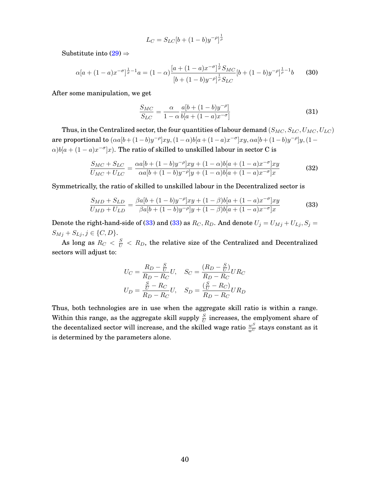$$
L_C = S_{LC} [b + (1 - b)y^{-\rho}]^{\frac{1}{\rho}}
$$

Substitute into  $(29) \Rightarrow$  $(29) \Rightarrow$ 

$$
\alpha [a + (1 - a)x^{-\sigma}]^{\frac{1}{\sigma} - 1} a = (1 - \alpha) \frac{[a + (1 - a)x^{-\sigma}]^{\frac{1}{\sigma}} S_{MC}}{[b + (1 - b)y^{-\rho}]^{\frac{1}{\rho}} S_{LC}} [b + (1 - b)y^{-\rho}]^{\frac{1}{\rho} - 1} b \tag{30}
$$

After some manipulation, we get

$$
\frac{S_{MC}}{S_{LC}} = \frac{\alpha}{1 - \alpha} \frac{a[b + (1 - b)y^{-\rho}]}{b[a + (1 - a)x^{-\sigma}]}
$$
(31)

Thus, in the Centralized sector, the four quantities of labour demand  $(S_{MC}, S_{LC}, U_{MC}, U_{LC})$ are proportional to  $(\alpha a | b + (1 - b)y^{-\rho}]xy$ ,  $(1 - \alpha)b | a + (1 - a)x^{-\sigma}]xy$ ,  $\alpha a | b + (1 - b)y^{-\rho}]y$ ,  $(1 - b)y^{-\rho}$  $\alpha$ ) $b[a + (1-a)x^{-\sigma}]x$ . The ratio of skilled to unskilled labour in sector C is

$$
\frac{S_{MC} + S_{LC}}{U_{MC} + U_{LC}} = \frac{\alpha a [b + (1 - b)y^{-\rho}]xy + (1 - \alpha)b[a + (1 - a)x^{-\sigma}]xy}{\alpha a [b + (1 - b)y^{-\rho}]y + (1 - \alpha)b[a + (1 - a)x^{-\sigma}]x}
$$
(32)

Symmetrically, the ratio of skilled to unskilled labour in the Decentralized sector is

<span id="page-40-0"></span>
$$
\frac{S_{MD} + S_{LD}}{U_{MD} + U_{LD}} = \frac{\beta a[b + (1 - b)y^{-\rho}]xy + (1 - \beta)b[a + (1 - a)x^{-\sigma}]xy}{\beta a[b + (1 - b)y^{-\rho}]y + (1 - \beta)b[a + (1 - a)x^{-\sigma}]x}
$$
(33)

Denote the right-hand-side of [\(33\)](#page-40-0) and (33) as  $R_C, R_D$ . And denote  $U_j = U_{Mj} + U_{Lj}, S_j =$  $S_{Mj} + S_{Lj}, j \in \{C, D\}.$ 

As long as  $R_C < \frac{S}{U} < R_D$ , the relative size of the Centralized and Decentralized sectors will adjust to:

$$
U_C = \frac{R_D - \frac{S}{U}}{R_D - R_C} U, \quad S_C = \frac{(R_D - \frac{S}{U})}{R_D - R_C} U R_C
$$

$$
U_D = \frac{\frac{S}{U} - R_C}{R_D - R_C} U, \quad S_D = \frac{(\frac{S}{U} - R_C)}{R_D - R_C} U R_D
$$

Thus, both technologies are in use when the aggregate skill ratio is within a range. Within this range, as the aggregate skill supply  $\frac{S}{U}$  increases, the emplyoment share of the decentalized sector will increase, and the skilled wage ratio  $\frac{w^S}{w^U}$  stays constant as it is determined by the parameters alone.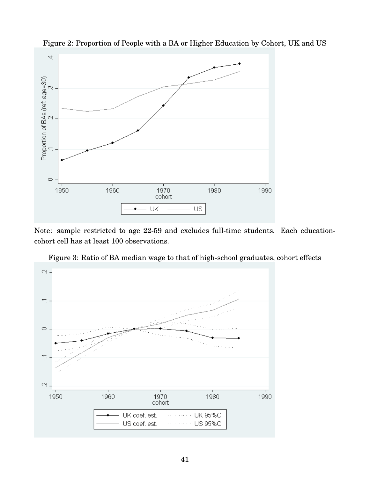

<span id="page-41-0"></span>Figure 2: Proportion of People with a BA or Higher Education by Cohort, UK and US

Note: sample restricted to age 22-59 and excludes full-time students. Each educationcohort cell has at least 100 observations.



<span id="page-41-1"></span>Figure 3: Ratio of BA median wage to that of high-school graduates, cohort effects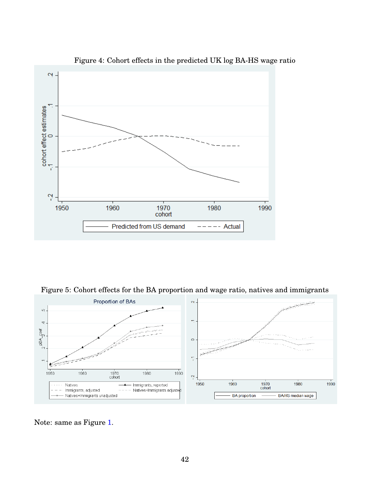

<span id="page-42-0"></span>Figure 4: Cohort effects in the predicted UK log BA-HS wage ratio

<span id="page-42-1"></span>Figure 5: Cohort effects for the BA proportion and wage ratio, natives and immigrants



Note: same as Figure [1.](#page-2-0)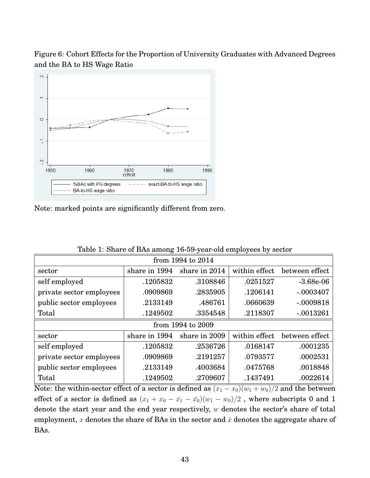<span id="page-43-0"></span>Figure 6: Cohort Effects for the Proportion of University Graduates with Advanced Degrees and the BA to HS Wage Ratio



Note: marked points are significantly different from zero.

| from 1994 to 2014                                                           |                                                                   |          |          |             |  |  |  |  |  |
|-----------------------------------------------------------------------------|-------------------------------------------------------------------|----------|----------|-------------|--|--|--|--|--|
| sector                                                                      | within effect<br>share in 1994<br>share in 2014<br>between effect |          |          |             |  |  |  |  |  |
| self employed                                                               | .1205832                                                          | .3108846 | .0251527 | $-3.68e-06$ |  |  |  |  |  |
| private sector employees                                                    | .0909869                                                          | .2835905 | .1206141 | $-.0003407$ |  |  |  |  |  |
| public sector employees                                                     | .2133149                                                          | .486761  | .0660639 | $-.0009818$ |  |  |  |  |  |
| Total                                                                       | .1249502                                                          | .3354548 | .2118307 | $-.0013261$ |  |  |  |  |  |
| from 1994 to 2009                                                           |                                                                   |          |          |             |  |  |  |  |  |
| share in 1994<br>within effect<br>share in 2009<br>between effect<br>sector |                                                                   |          |          |             |  |  |  |  |  |
| self employed                                                               | .1205832                                                          | .2536726 | .0168147 | .0001235    |  |  |  |  |  |
| private sector employees                                                    | .0909869                                                          | .2191257 | .0793577 | .0002531    |  |  |  |  |  |
| public sector employees                                                     | .2133149                                                          | .4003684 | .0475768 | .0018848    |  |  |  |  |  |
| Total                                                                       | .1249502                                                          | .2709607 | .1437491 | .0022614    |  |  |  |  |  |

Table 1: Share of BAs among 16-59-year-old employees by sector

Note: the within-sector effect of a sector is defined as  $(x_1 - x_0)(w_1 + w_0)/2$  and the between effect of a sector is defined as  $(x_1 + x_0 - \bar{x}_1 - \bar{x}_0)(w_1 - w_0)/2$ , where subscripts 0 and 1 denote the start year and the end year respectively,  $w$  denotes the sector's share of total employment, x denotes the share of BAs in the sector and  $\bar{x}$  denotes the aggregate share of BAs.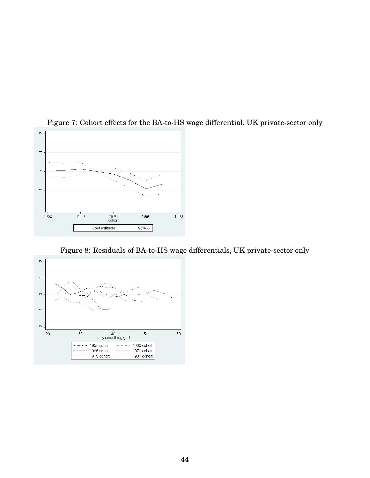

### <span id="page-44-0"></span>Figure 7: Cohort effects for the BA-to-HS wage differential, UK private-sector only

<span id="page-44-1"></span>Figure 8: Residuals of BA-to-HS wage differentials, UK private-sector only

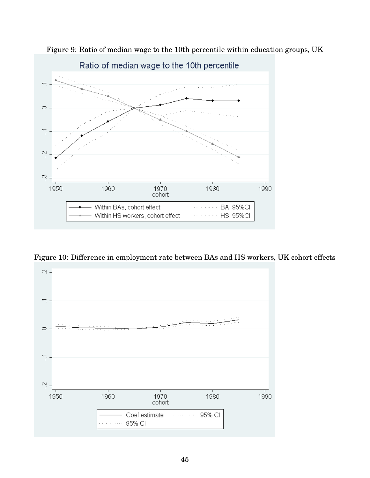

<span id="page-45-0"></span>Figure 9: Ratio of median wage to the 10th percentile within education groups, UK

<span id="page-45-1"></span>Figure 10: Difference in employment rate between BAs and HS workers, UK cohort effects

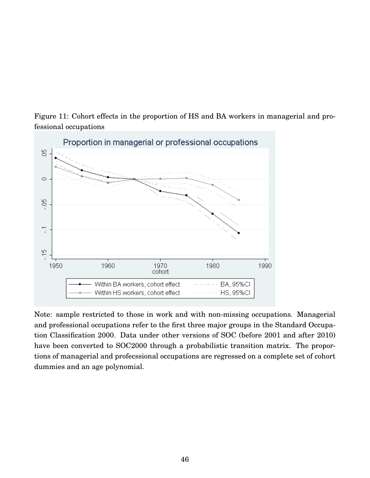<span id="page-46-0"></span>Figure 11: Cohort effects in the proportion of HS and BA workers in managerial and professional occupations



Note: sample restricted to those in work and with non-missing occupations. Managerial and professional occupations refer to the first three major groups in the Standard Occupation Classification 2000. Data under other versions of SOC (before 2001 and after 2010) have been converted to SOC2000 through a probabilistic transition matrix. The proportions of managerial and profecssional occupations are regressed on a complete set of cohort dummies and an age polynomial.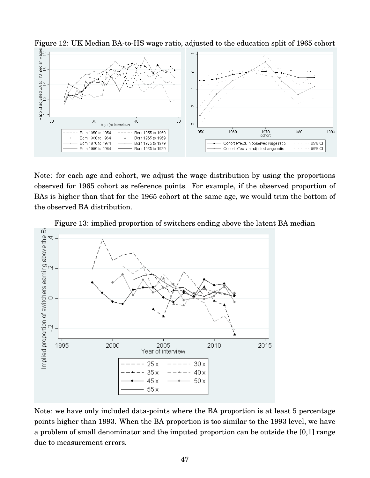

<span id="page-47-0"></span>Figure 12: UK Median BA-to-HS wage ratio, adjusted to the education split of 1965 cohort

Note: for each age and cohort, we adjust the wage distribution by using the proportions observed for 1965 cohort as reference points. For example, if the observed proportion of BAs is higher than that for the 1965 cohort at the same age, we would trim the bottom of the observed BA distribution.



<span id="page-47-1"></span>Figure 13: implied proportion of switchers ending above the latent BA median

Note: we have only included data-points where the BA proportion is at least 5 percentage points higher than 1993. When the BA proportion is too similar to the 1993 level, we have a problem of small denominator and the imputed proportion can be outside the [0,1] range due to measurement errors.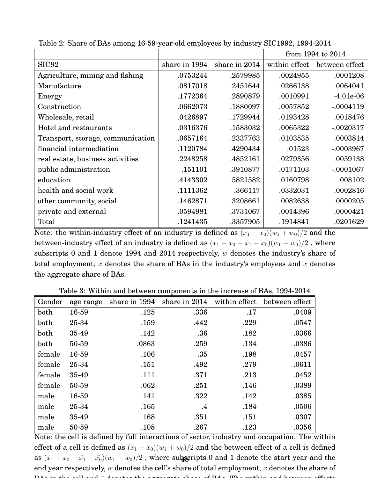|                                   |               |               | from 1994 to 2014 |                |  |
|-----------------------------------|---------------|---------------|-------------------|----------------|--|
| SIC <sub>92</sub>                 | share in 1994 | share in 2014 | within effect     | between effect |  |
| Agriculture, mining and fishing   | .0753244      | .2579985      | .0024955          | .0001208       |  |
| Manufacture                       | .0817018      | .2451644      | .0266138          | .0064041       |  |
| Energy                            | .1772364      | .2890879      | .0010991          | $-4.01e-06$    |  |
| Construction                      | .0662073      | .1880097      | .0057852          | $-.0004119$    |  |
| Wholesale, retail                 | .0426897      | .1729944      | .0193428          | .0018476       |  |
| Hotel and restaurants             | .0316376      | .1583032      | .0065322          | $-.0020317$    |  |
| Transport, storage, communication | .0657164      | .2337763      | .0103535          | .0003814       |  |
| financial intermediation          | .1120784      | .4290434      | .01523            | $-.0003967$    |  |
| real estate, business activities  | .2248258      | .4852161      | .0279356          | .0059138       |  |
| public administration             | .151101       | .3910877      | .0171103          | $-.0001067$    |  |
| education                         | .4143302      | .5821582      | .0160798          | .008102        |  |
| health and social work            | .1111362      | .366117       | .0332031          | .0002816       |  |
| other community, social           | .1462871      | .3208661      | .0082638          | .0000205       |  |
| private and external              | .0594981      | .3731067      | .0014396          | .0000421       |  |
| Total                             | .1241435      | .3357905      | .1914841          | .0201629       |  |

<span id="page-48-0"></span>Table 2: Share of BAs among 16-59-year-old employees by industry SIC1992, 1994-2014

Note: the within-industry effect of an industry is defined as  $(x_1 - x_0)(w_1 + w_0)/2$  and the between-industry effect of an industry is defined as  $(x_1 + x_0 - \bar{x_1} - \bar{x_0})(w_1 - w_0)/2$ , where subscripts 0 and 1 denote 1994 and 2014 respectively,  $w$  denotes the industry's share of total employment, x denotes the share of BAs in the industry's employees and  $\bar{x}$  denotes the aggregate share of BAs.

| Gender | age range | share in 1994 | share in 2014 | within effect | between effect |
|--------|-----------|---------------|---------------|---------------|----------------|
| both   | 16-59     | .125          | .336          | .17           | .0409          |
| both   | 25-34     | .159          | .442          | .229          | .0547          |
| both   | 35-49     | .142          | .36           | .182          | .0366          |
| both   | 50-59     | .0863         | .259          | .134          | .0386          |
| female | 16-59     | .106          | .35           | .198          | .0457          |
| female | 25-34     | .151          | .492          | .279          | .0611          |
| female | 35-49     | .111          | .371          | .213          | .0452          |
| female | 50-59     | .062          | .251          | .146          | .0389          |
| male   | 16-59     | .141          | .322          | .142          | .0385          |
| male   | 25-34     | .165          | $\cdot$ 4     | .184          | .0506          |
| male   | 35-49     | .168          | .351          | .151          | .0307          |
| male   | 50-59     | .108          | .267          | .123          | .0356          |

<span id="page-48-1"></span>Table 3: Within and between components in the increase of BAs, 1994-2014

Note: the cell is defined by full interactions of sector, industry and occupation. The within effect of a cell is defined as  $(x_1 - x_0)(w_1 + w_0)/2$  and the between effect of a cell is defined as  $(x_1+x_0-\bar{x_1}-\bar{x_0})(w_1-w_0)/2$  , where subgripts 0 and 1 denote the start year and the end year respectively,  $w$  denotes the cell's share of total employment,  $x$  denotes the share of  $B = \frac{1}{2}$  and  $\frac{1}{2}$  denotes the aggregate share of BAs. The within and between  $\frac{1}{2}$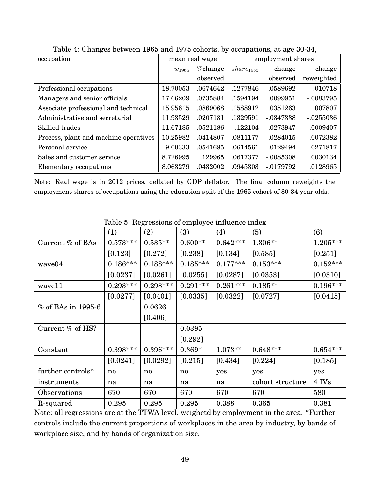| occupation                            | mean real wage         |          | employment shares     |             |              |
|---------------------------------------|------------------------|----------|-----------------------|-------------|--------------|
|                                       | % change<br>$w_{1965}$ |          | share <sub>1965</sub> | change      | change       |
|                                       |                        | observed |                       | observed    | reweighted   |
| Professional occupations              | 18.70053               | .0674642 | .1277846              | .0589692    | $-.010718$   |
| Managers and senior officials         | 17.66209               | .0735884 | .1594194              | .0099951    | $-.0083795$  |
| Associate professional and technical  | 15.95615               | .0869068 | .1588912              | .0351263    | .007807      |
| Administrative and secretarial        | 11.93529               | .0207131 | .1329591              | $-.0347338$ | $-0.0255036$ |
| Skilled trades                        | 11.67185               | .0521186 | .122104               | $-.0273947$ | .0009407     |
| Process, plant and machine operatives | 10.25982               | .0414807 | .0811177              | $-.0284015$ | $-.0072382$  |
| Personal service                      | 9.00333                | .0541685 | .0614561              | .0129494    | .0271817     |
| Sales and customer service            | 8.726995               | .129965  | .0617377              | $-.0085308$ | .0030134     |
| Elementary occupations                | 8.063279               | .0432002 | .0945303              | $-0179792$  | .0128965     |

<span id="page-49-0"></span>Table 4: Changes between 1965 and 1975 cohorts, by occupations, at age 30-34,

Note: Real wage is in 2012 prices, deflated by GDP deflator. The final column reweights the employment shares of occupations using the education split of the 1965 cohort of 30-34 year olds.

|                       | (1)          | (2)        | rasic of respectivity of employee minactice in<br>(3) | (4)        | (5)              | (6)        |
|-----------------------|--------------|------------|-------------------------------------------------------|------------|------------------|------------|
|                       |              |            |                                                       |            |                  |            |
| Current % of BAs      | $0.573***$   | $0.535**$  | $0.600**$                                             | $0.642***$ | 1.306**          | $1.205***$ |
|                       | [0.123]      | [0.272]    | [0.238]                                               | [0.134]    | [0.585]          | [0.251]    |
| wave04                | $0.186***$   | $0.188***$ | $0.185***$                                            | $0.177***$ | $0.153***$       | $0.152***$ |
|                       | [0.0237]     | [0.0261]   | [0.0255]                                              | [0.0287]   | [0.0353]         | [0.0310]   |
| wave11                | $0.293***$   | $0.298***$ | $0.291***$                                            | $0.261***$ | $0.185**$        | $0.196***$ |
|                       | [0.0277]     | [0.0401]   | [0.0335]                                              | [0.0322]   | [0.0727]         | [0.0415]   |
| $\%$ of BAs in 1995-6 |              | 0.0626     |                                                       |            |                  |            |
|                       |              | [0.406]    |                                                       |            |                  |            |
| Current % of HS?      |              |            | 0.0395                                                |            |                  |            |
|                       |              |            | [0.292]                                               |            |                  |            |
| Constant              | $0.398***$   | $0.396***$ | $0.369*$                                              | $1.073**$  | $0.648***$       | $0.654***$ |
|                       | [0.0241]     | [0.0292]   | [0.215]                                               | [0.434]    | [0.224]          | [0.185]    |
| further controls*     | $\mathbf{n}$ | no         | no                                                    | yes        | yes              | yes        |
| instruments           | na           | na         | na                                                    | na         | cohort structure | 4 IVs      |
| Observations          | 670          | 670        | 670                                                   | 670        | 670              | 580        |
| R-squared             | 0.295        | 0.295      | 0.295                                                 | 0.388      | 0.365            | 0.381      |

<span id="page-49-1"></span>Table 5: Regressions of employee influence index

Note: all regressions are at the TTWA level, weighetd by employment in the area. \*Further controls include the current proportions of workplaces in the area by industry, by bands of workplace size, and by bands of organization size.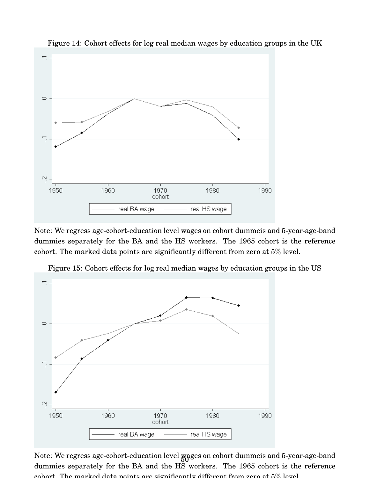

<span id="page-50-0"></span>Figure 14: Cohort effects for log real median wages by education groups in the UK

Note: We regress age-cohort-education level wages on cohort dummeis and 5-year-age-band dummies separately for the BA and the HS workers. The 1965 cohort is the reference cohort. The marked data points are significantly different from zero at 5% level.



<span id="page-50-1"></span>Figure 15: Cohort effects for log real median wages by education groups in the US

<span id="page-50-2"></span>Note: We regress age-cohort-education level  $_{\rm{N}}$ ages on cohort dummeis and 5-year-age-band dummies separately for the BA and the HS workers. The 1965 cohort is the reference cohort. The marked data points are significantly different from zero at  $5\%$  level.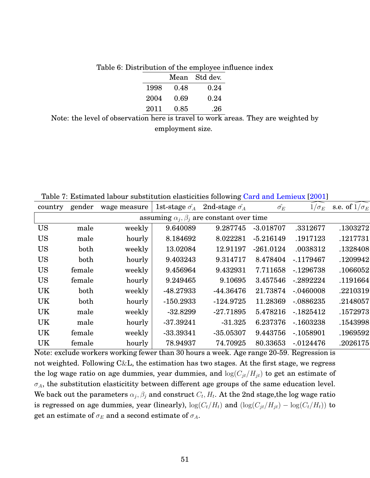|  |           |               | Table 6: Distribution of the employee influence index |
|--|-----------|---------------|-------------------------------------------------------|
|  |           | Mean Std dev. |                                                       |
|  | 1998 0.48 | 0.24          |                                                       |
|  | 2004 0.69 | 0.24          |                                                       |
|  | 2011 0.85 | .26           |                                                       |

Note: the level of observation here is travel to work areas. They are weighted by employment size.

<span id="page-51-0"></span>Table 7: Estimated labour substitution elasticities following [Card and Lemieux](#page-34-0) [\[2001\]](#page-34-0)

| gender                                              | wage measure | 1st-stage $\hat{\sigma_A}$ | 2nd-stage $\hat{\sigma}_A$ | $\hat{\sigma_E}$ | $1/\sigma_E$ | s.e. of $1/\sigma_E$ |  |  |
|-----------------------------------------------------|--------------|----------------------------|----------------------------|------------------|--------------|----------------------|--|--|
| assuming $\alpha_i, \beta_i$ are constant over time |              |                            |                            |                  |              |                      |  |  |
| male                                                | weekly       | 9.640089                   | 9.287745                   | $-3.018707$      | .3312677     | .1303272             |  |  |
| male                                                | hourly       | 8.184692                   | 8.022281                   | $-5.216149$      | .1917123     | .1217731             |  |  |
| both                                                | weekly       | 13.02084                   | 12.91197                   | $-261.0124$      | .0038312     | .1328408             |  |  |
| both                                                | hourly       | 9.403243                   | 9.314717                   | 8.478404         | $-1179467$   | .1209942             |  |  |
| female                                              | weekly       | 9.456964                   | 9.432931                   | 7.711658         | $-1296738$   | .1066052             |  |  |
| female                                              | hourly       | 9.249465                   | 9.10695                    | 3.457546         | $-2892224$   | .1191664             |  |  |
| both                                                | weekly       | -48.27933                  | $-44.36476$                | 21.73874         | $-.0460008$  | .2210319             |  |  |
| both                                                | hourly       | $-150.2933$                | $-124.9725$                | 11.28369         | $-.0886235$  | .2148057             |  |  |
| male                                                | weekly       | $-32.8299$                 | $-27.71895$                | 5.478216         | $-1825412$   | .1572973             |  |  |
| male                                                | hourly       | $-37.39241$                | $-31.325$                  | 6.237376         | $-1603238$   | .1543998             |  |  |
| female                                              | weekly       | $-33.39341$                | $-35.05307$                | 9.443756         | $-0.1058901$ | .1969592             |  |  |
| female                                              | hourly       | 78.94937                   | 74.70925                   | 80.33653         | $-0.0124476$ | .2026175             |  |  |
|                                                     |              |                            |                            |                  |              |                      |  |  |

Note: exclude workers working fewer than 30 hours a week. Age range 20-59. Regression is not weighted. Following  $C\&L$ , the estimation has two stages. At the first stage, we regress the log wage ratio on age dummies, year dummies, and  $log(C_{jt}/H_{jt})$  to get an estimate of  $\sigma_A$ , the substitution elasticitity between different age groups of the same education level. We back out the parameters  $\alpha_j, \beta_j$  and construct  $C_t, H_t.$  At the 2nd stage,the log wage ratio is regressed on age dummies, year (linearly),  $\log(C_t/H_t)$  and  $(\log(C_{jt}/H_{jt}) - \log(C_t/H_t))$  to get an estimate of  $\sigma_E$  and a second estimate of  $\sigma_A$ .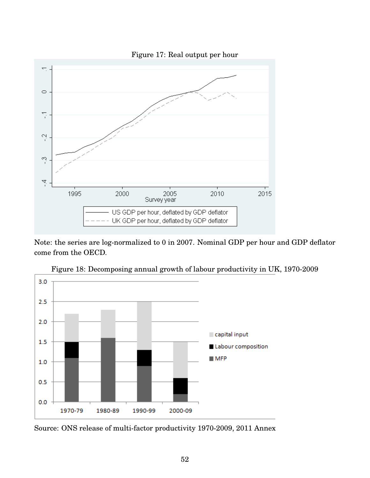<span id="page-52-0"></span>

Note: the series are log-normalized to 0 in 2007. Nominal GDP per hour and GDP deflator come from the OECD.



<span id="page-52-1"></span>Figure 18: Decomposing annual growth of labour productivity in UK, 1970-2009

Source: ONS release of multi-factor productivity 1970-2009, 2011 Annex